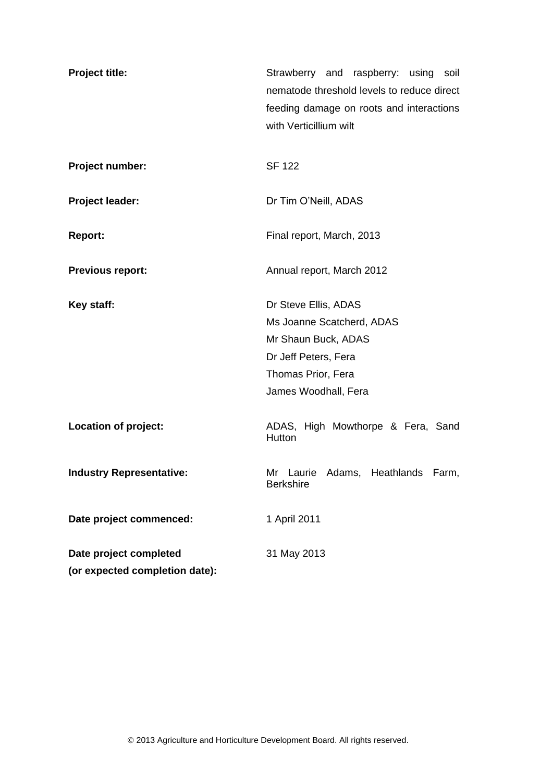| <b>Project title:</b>           | Strawberry and raspberry: using soil<br>nematode threshold levels to reduce direct<br>feeding damage on roots and interactions<br>with Verticillium wilt |  |  |  |
|---------------------------------|----------------------------------------------------------------------------------------------------------------------------------------------------------|--|--|--|
| Project number:                 | <b>SF 122</b>                                                                                                                                            |  |  |  |
| Project leader:                 | Dr Tim O'Neill, ADAS                                                                                                                                     |  |  |  |
| <b>Report:</b>                  | Final report, March, 2013                                                                                                                                |  |  |  |
| <b>Previous report:</b>         | Annual report, March 2012                                                                                                                                |  |  |  |
| Key staff:                      | Dr Steve Ellis, ADAS<br>Ms Joanne Scatcherd, ADAS<br>Mr Shaun Buck, ADAS<br>Dr Jeff Peters, Fera<br>Thomas Prior, Fera<br>James Woodhall, Fera           |  |  |  |
| <b>Location of project:</b>     | ADAS, High Mowthorpe & Fera, Sand<br>Hutton                                                                                                              |  |  |  |
| <b>Industry Representative:</b> | Mr Laurie Adams, Heathlands<br>Farm,<br><b>Berkshire</b>                                                                                                 |  |  |  |
| Date project commenced:         | 1 April 2011                                                                                                                                             |  |  |  |
| Date project completed          | 31 May 2013                                                                                                                                              |  |  |  |
| (or expected completion date):  |                                                                                                                                                          |  |  |  |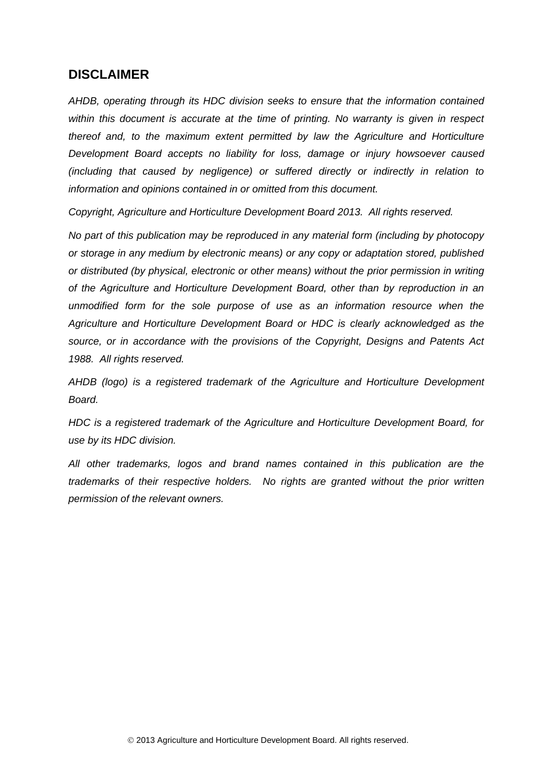## **DISCLAIMER**

*AHDB, operating through its HDC division seeks to ensure that the information contained within this document is accurate at the time of printing. No warranty is given in respect thereof and, to the maximum extent permitted by law the Agriculture and Horticulture Development Board accepts no liability for loss, damage or injury howsoever caused (including that caused by negligence) or suffered directly or indirectly in relation to information and opinions contained in or omitted from this document.* 

*Copyright, Agriculture and Horticulture Development Board 2013. All rights reserved.*

*No part of this publication may be reproduced in any material form (including by photocopy or storage in any medium by electronic means) or any copy or adaptation stored, published or distributed (by physical, electronic or other means) without the prior permission in writing of the Agriculture and Horticulture Development Board, other than by reproduction in an unmodified form for the sole purpose of use as an information resource when the Agriculture and Horticulture Development Board or HDC is clearly acknowledged as the source, or in accordance with the provisions of the Copyright, Designs and Patents Act 1988. All rights reserved.* 

*AHDB (logo) is a registered trademark of the Agriculture and Horticulture Development Board.*

*HDC is a registered trademark of the Agriculture and Horticulture Development Board, for use by its HDC division.*

*All other trademarks, logos and brand names contained in this publication are the trademarks of their respective holders. No rights are granted without the prior written permission of the relevant owners.*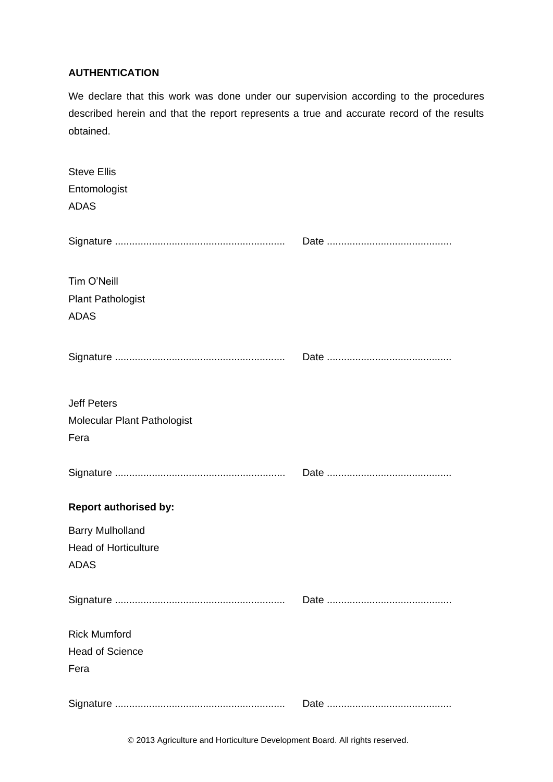#### **AUTHENTICATION**

We declare that this work was done under our supervision according to the procedures described herein and that the report represents a true and accurate record of the results obtained.

| <b>Steve Ellis</b><br>Entomologist<br><b>ADAS</b>                     |  |
|-----------------------------------------------------------------------|--|
|                                                                       |  |
| Tim O'Neill<br><b>Plant Pathologist</b><br><b>ADAS</b>                |  |
|                                                                       |  |
| <b>Jeff Peters</b><br>Molecular Plant Pathologist<br>Fera             |  |
|                                                                       |  |
| <b>Report authorised by:</b>                                          |  |
| <b>Barry Mulholland</b><br><b>Head of Horticulture</b><br><b>ADAS</b> |  |
|                                                                       |  |
| <b>Rick Mumford</b><br><b>Head of Science</b><br>Fera                 |  |
|                                                                       |  |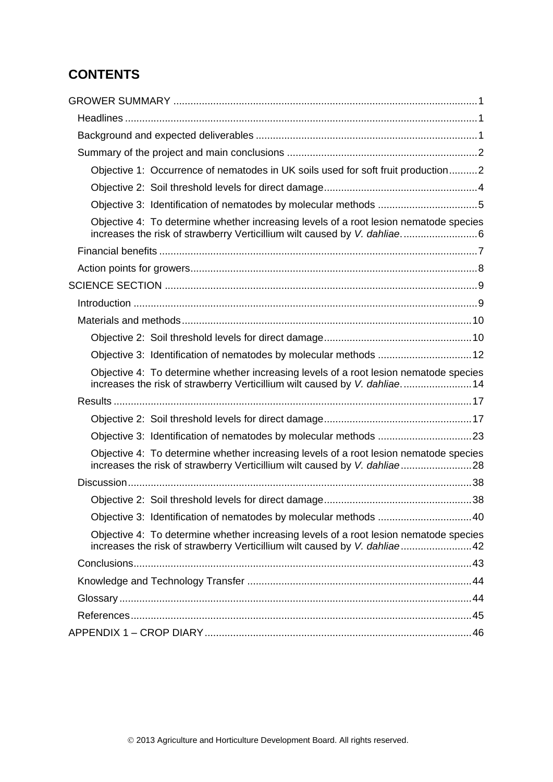# **CONTENTS**

| Objective 1: Occurrence of nematodes in UK soils used for soft fruit production2                                                                                    |  |
|---------------------------------------------------------------------------------------------------------------------------------------------------------------------|--|
|                                                                                                                                                                     |  |
|                                                                                                                                                                     |  |
| Objective 4: To determine whether increasing levels of a root lesion nematode species                                                                               |  |
|                                                                                                                                                                     |  |
|                                                                                                                                                                     |  |
|                                                                                                                                                                     |  |
|                                                                                                                                                                     |  |
|                                                                                                                                                                     |  |
|                                                                                                                                                                     |  |
| Objective 3: Identification of nematodes by molecular methods  12                                                                                                   |  |
| Objective 4: To determine whether increasing levels of a root lesion nematode species<br>increases the risk of strawberry Verticillium wilt caused by V. dahliae 14 |  |
|                                                                                                                                                                     |  |
|                                                                                                                                                                     |  |
| Objective 3: Identification of nematodes by molecular methods 23                                                                                                    |  |
| Objective 4: To determine whether increasing levels of a root lesion nematode species<br>increases the risk of strawberry Verticillium wilt caused by V. dahliae28  |  |
|                                                                                                                                                                     |  |
|                                                                                                                                                                     |  |
| Objective 3: Identification of nematodes by molecular methods 40                                                                                                    |  |
| Objective 4: To determine whether increasing levels of a root lesion nematode species<br>increases the risk of strawberry Verticillium wilt caused by V. dahliae42  |  |
|                                                                                                                                                                     |  |
|                                                                                                                                                                     |  |
|                                                                                                                                                                     |  |
|                                                                                                                                                                     |  |
|                                                                                                                                                                     |  |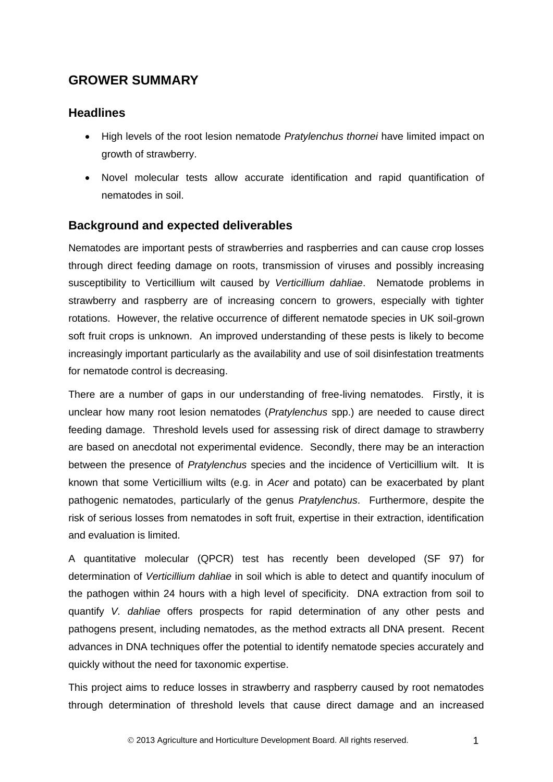# <span id="page-4-0"></span>**GROWER SUMMARY**

## <span id="page-4-1"></span>**Headlines**

- High levels of the root lesion nematode *Pratylenchus thornei* have limited impact on growth of strawberry.
- Novel molecular tests allow accurate identification and rapid quantification of nematodes in soil.

## <span id="page-4-2"></span>**Background and expected deliverables**

Nematodes are important pests of strawberries and raspberries and can cause crop losses through direct feeding damage on roots, transmission of viruses and possibly increasing susceptibility to Verticillium wilt caused by *Verticillium dahliae*. Nematode problems in strawberry and raspberry are of increasing concern to growers, especially with tighter rotations. However, the relative occurrence of different nematode species in UK soil-grown soft fruit crops is unknown. An improved understanding of these pests is likely to become increasingly important particularly as the availability and use of soil disinfestation treatments for nematode control is decreasing.

There are a number of gaps in our understanding of free-living nematodes. Firstly, it is unclear how many root lesion nematodes (*Pratylenchus* spp.) are needed to cause direct feeding damage. Threshold levels used for assessing risk of direct damage to strawberry are based on anecdotal not experimental evidence. Secondly, there may be an interaction between the presence of *Pratylenchus* species and the incidence of Verticillium wilt. It is known that some Verticillium wilts (e.g. in *Acer* and potato) can be exacerbated by plant pathogenic nematodes, particularly of the genus *Pratylenchus*. Furthermore, despite the risk of serious losses from nematodes in soft fruit, expertise in their extraction, identification and evaluation is limited.

A quantitative molecular (QPCR) test has recently been developed (SF 97) for determination of *Verticillium dahliae* in soil which is able to detect and quantify inoculum of the pathogen within 24 hours with a high level of specificity. DNA extraction from soil to quantify *V. dahliae* offers prospects for rapid determination of any other pests and pathogens present, including nematodes, as the method extracts all DNA present. Recent advances in DNA techniques offer the potential to identify nematode species accurately and quickly without the need for taxonomic expertise.

This project aims to reduce losses in strawberry and raspberry caused by root nematodes through determination of threshold levels that cause direct damage and an increased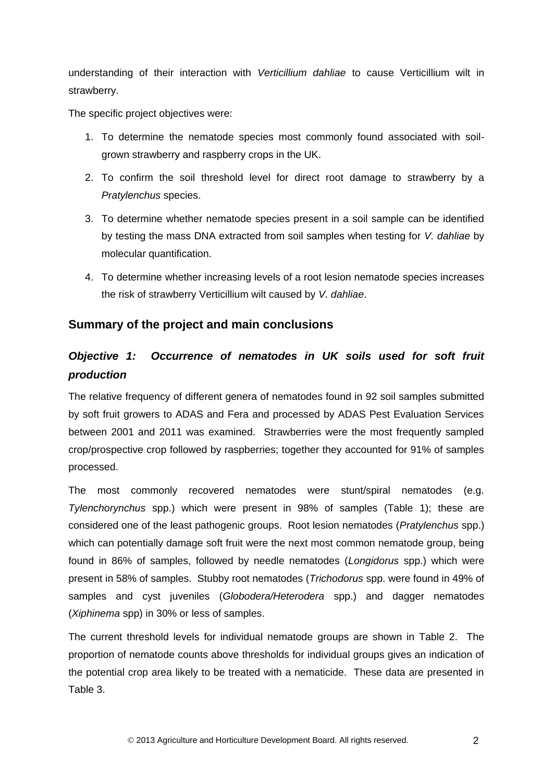understanding of their interaction with *Verticillium dahliae* to cause Verticillium wilt in strawberry.

The specific project objectives were:

- 1. To determine the nematode species most commonly found associated with soilgrown strawberry and raspberry crops in the UK.
- 2. To confirm the soil threshold level for direct root damage to strawberry by a *Pratylenchus* species.
- 3. To determine whether nematode species present in a soil sample can be identified by testing the mass DNA extracted from soil samples when testing for *V. dahliae* by molecular quantification.
- <span id="page-5-0"></span>4. To determine whether increasing levels of a root lesion nematode species increases the risk of strawberry Verticillium wilt caused by *V. dahliae*.

## **Summary of the project and main conclusions**

# <span id="page-5-1"></span>*Objective 1: Occurrence of nematodes in UK soils used for soft fruit production*

The relative frequency of different genera of nematodes found in 92 soil samples submitted by soft fruit growers to ADAS and Fera and processed by ADAS Pest Evaluation Services between 2001 and 2011 was examined. Strawberries were the most frequently sampled crop/prospective crop followed by raspberries; together they accounted for 91% of samples processed.

The most commonly recovered nematodes were stunt/spiral nematodes (e.g. *Tylenchorynchus* spp.) which were present in 98% of samples (Table 1); these are considered one of the least pathogenic groups. Root lesion nematodes (*Pratylenchus* spp.) which can potentially damage soft fruit were the next most common nematode group, being found in 86% of samples, followed by needle nematodes (*Longidorus* spp.) which were present in 58% of samples. Stubby root nematodes (*Trichodorus* spp. were found in 49% of samples and cyst juveniles (*Globodera/Heterodera* spp.) and dagger nematodes (*Xiphinema* spp) in 30% or less of samples.

The current threshold levels for individual nematode groups are shown in Table 2. The proportion of nematode counts above thresholds for individual groups gives an indication of the potential crop area likely to be treated with a nematicide. These data are presented in Table 3.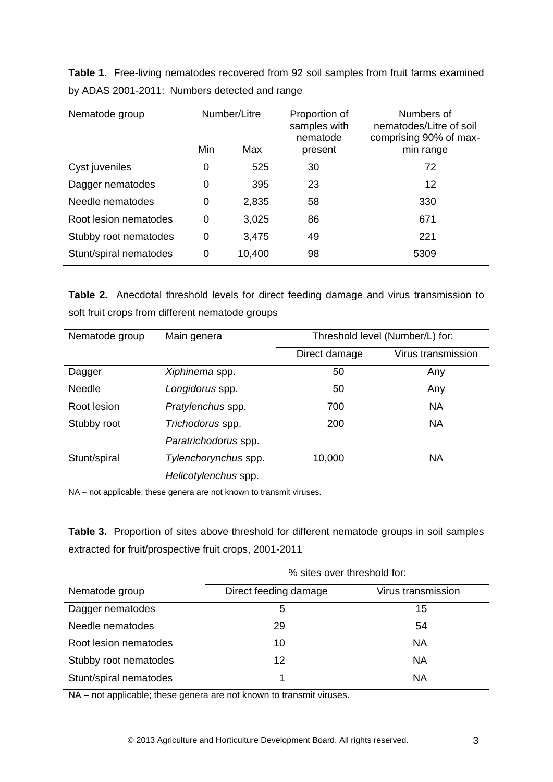**Table 1.** Free-living nematodes recovered from 92 soil samples from fruit farms examined by ADAS 2001-2011: Numbers detected and range

| Number/Litre<br>Nematode group |            | Proportion of<br>samples with<br>nematode | Numbers of<br>nematodes/Litre of soil<br>comprising 90% of max- |           |  |
|--------------------------------|------------|-------------------------------------------|-----------------------------------------------------------------|-----------|--|
|                                | Min<br>Max |                                           | present                                                         | min range |  |
| Cyst juveniles                 | 0          | 525                                       | 30                                                              | 72        |  |
| Dagger nematodes               | 0          | 395                                       | 23                                                              | 12        |  |
| Needle nematodes               | 0          | 2,835                                     | 58                                                              | 330       |  |
| Root lesion nematodes          | 0          | 3,025                                     | 86                                                              | 671       |  |
| Stubby root nematodes          | 0          | 3,475                                     | 49                                                              | 221       |  |
| Stunt/spiral nematodes         | 0          | 10,400                                    | 98                                                              | 5309      |  |

**Table 2.** Anecdotal threshold levels for direct feeding damage and virus transmission to soft fruit crops from different nematode groups

| Nematode group | Main genera          | Threshold level (Number/L) for: |                    |
|----------------|----------------------|---------------------------------|--------------------|
|                |                      | Direct damage                   | Virus transmission |
| Dagger         | Xiphinema spp.       | 50                              | Any                |
| <b>Needle</b>  | Longidorus spp.      | 50                              | Any                |
| Root lesion    | Pratylenchus spp.    | 700                             | <b>NA</b>          |
| Stubby root    | Trichodorus spp.     | 200                             | <b>NA</b>          |
|                | Paratrichodorus spp. |                                 |                    |
| Stunt/spiral   | Tylenchorynchus spp. | 10,000                          | NА                 |
|                | Helicotylenchus spp. |                                 |                    |

NA – not applicable; these genera are not known to transmit viruses.

**Table 3.** Proportion of sites above threshold for different nematode groups in soil samples extracted for fruit/prospective fruit crops, 2001-2011

|                        | % sites over threshold for: |                    |  |  |
|------------------------|-----------------------------|--------------------|--|--|
| Nematode group         | Direct feeding damage       | Virus transmission |  |  |
| Dagger nematodes       | 5                           | 15                 |  |  |
| Needle nematodes       | 29                          | 54                 |  |  |
| Root lesion nematodes  | 10                          | <b>NA</b>          |  |  |
| Stubby root nematodes  | 12                          | <b>NA</b>          |  |  |
| Stunt/spiral nematodes |                             | <b>NA</b>          |  |  |

NA – not applicable; these genera are not known to transmit viruses.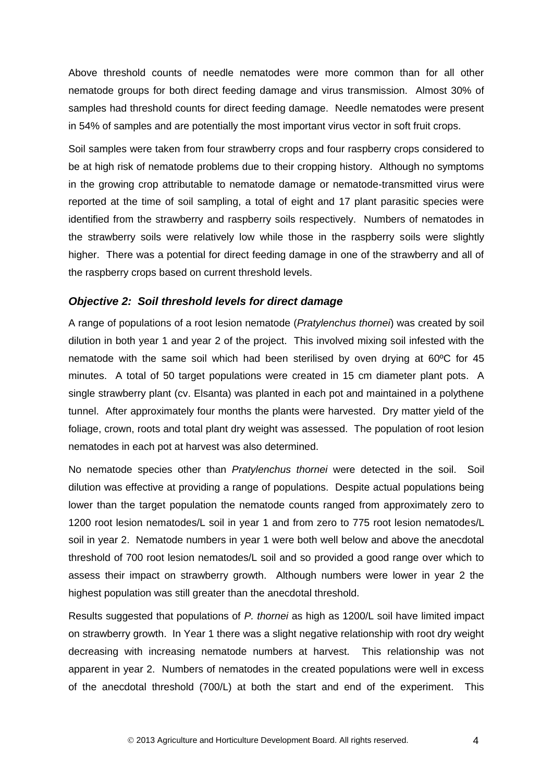Above threshold counts of needle nematodes were more common than for all other nematode groups for both direct feeding damage and virus transmission. Almost 30% of samples had threshold counts for direct feeding damage. Needle nematodes were present in 54% of samples and are potentially the most important virus vector in soft fruit crops.

Soil samples were taken from four strawberry crops and four raspberry crops considered to be at high risk of nematode problems due to their cropping history. Although no symptoms in the growing crop attributable to nematode damage or nematode-transmitted virus were reported at the time of soil sampling, a total of eight and 17 plant parasitic species were identified from the strawberry and raspberry soils respectively. Numbers of nematodes in the strawberry soils were relatively low while those in the raspberry soils were slightly higher. There was a potential for direct feeding damage in one of the strawberry and all of the raspberry crops based on current threshold levels.

#### <span id="page-7-0"></span>*Objective 2: Soil threshold levels for direct damage*

A range of populations of a root lesion nematode (*Pratylenchus thornei*) was created by soil dilution in both year 1 and year 2 of the project. This involved mixing soil infested with the nematode with the same soil which had been sterilised by oven drying at 60ºC for 45 minutes. A total of 50 target populations were created in 15 cm diameter plant pots. A single strawberry plant (cv. Elsanta) was planted in each pot and maintained in a polythene tunnel. After approximately four months the plants were harvested. Dry matter yield of the foliage, crown, roots and total plant dry weight was assessed. The population of root lesion nematodes in each pot at harvest was also determined.

No nematode species other than *Pratylenchus thornei* were detected in the soil. Soil dilution was effective at providing a range of populations. Despite actual populations being lower than the target population the nematode counts ranged from approximately zero to 1200 root lesion nematodes/L soil in year 1 and from zero to 775 root lesion nematodes/L soil in year 2. Nematode numbers in year 1 were both well below and above the anecdotal threshold of 700 root lesion nematodes/L soil and so provided a good range over which to assess their impact on strawberry growth. Although numbers were lower in year 2 the highest population was still greater than the anecdotal threshold.

Results suggested that populations of *P. thornei* as high as 1200/L soil have limited impact on strawberry growth. In Year 1 there was a slight negative relationship with root dry weight decreasing with increasing nematode numbers at harvest. This relationship was not apparent in year 2. Numbers of nematodes in the created populations were well in excess of the anecdotal threshold (700/L) at both the start and end of the experiment. This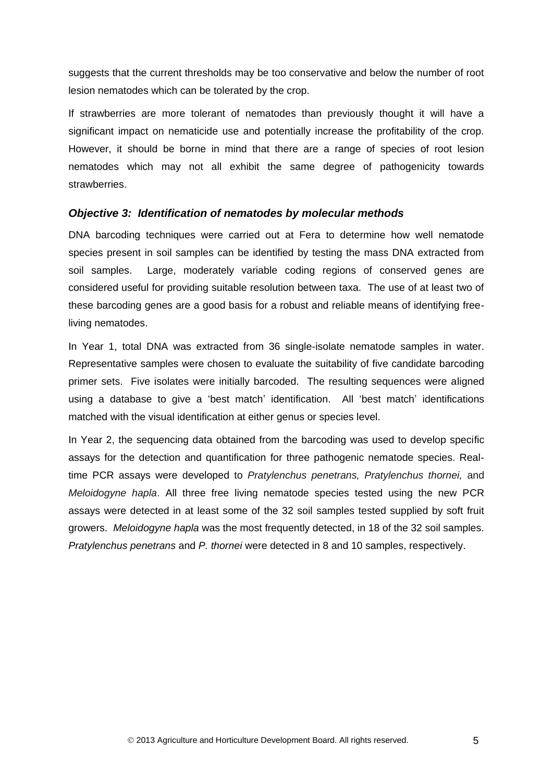suggests that the current thresholds may be too conservative and below the number of root lesion nematodes which can be tolerated by the crop.

If strawberries are more tolerant of nematodes than previously thought it will have a significant impact on nematicide use and potentially increase the profitability of the crop. However, it should be borne in mind that there are a range of species of root lesion nematodes which may not all exhibit the same degree of pathogenicity towards strawberries.

#### <span id="page-8-0"></span>*Objective 3: Identification of nematodes by molecular methods*

DNA barcoding techniques were carried out at Fera to determine how well nematode species present in soil samples can be identified by testing the mass DNA extracted from soil samples. Large, moderately variable coding regions of conserved genes are considered useful for providing suitable resolution between taxa. The use of at least two of these barcoding genes are a good basis for a robust and reliable means of identifying freeliving nematodes.

In Year 1, total DNA was extracted from 36 single-isolate nematode samples in water. Representative samples were chosen to evaluate the suitability of five candidate barcoding primer sets. Five isolates were initially barcoded. The resulting sequences were aligned using a database to give a 'best match' identification. All 'best match' identifications matched with the visual identification at either genus or species level.

In Year 2, the sequencing data obtained from the barcoding was used to develop specific assays for the detection and quantification for three pathogenic nematode species. Realtime PCR assays were developed to *Pratylenchus penetrans, Pratylenchus thornei,* and *Meloidogyne hapla*. All three free living nematode species tested using the new PCR assays were detected in at least some of the 32 soil samples tested supplied by soft fruit growers. *Meloidogyne hapla* was the most frequently detected, in 18 of the 32 soil samples. *Pratylenchus penetrans* and *P. thornei* were detected in 8 and 10 samples, respectively.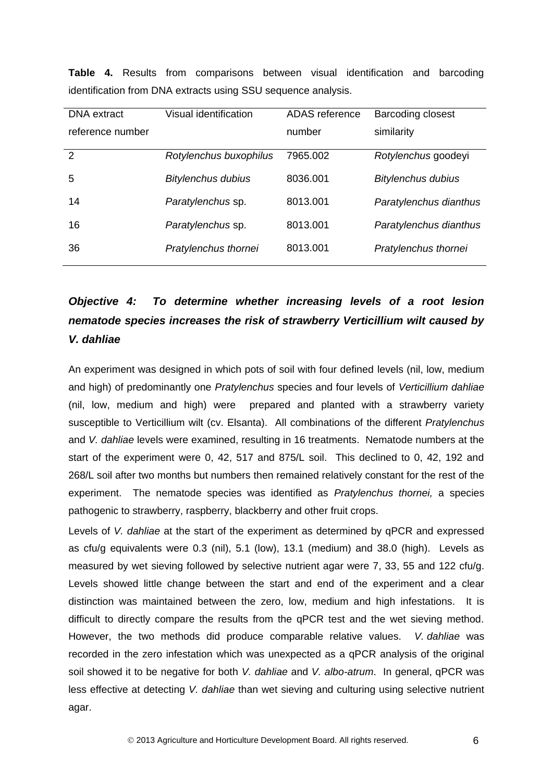| <b>DNA</b> extract | Visual identification     | ADAS reference | <b>Barcoding closest</b>  |
|--------------------|---------------------------|----------------|---------------------------|
| reference number   |                           | number         | similarity                |
|                    |                           |                |                           |
| 2                  | Rotylenchus buxophilus    | 7965.002       | Rotylenchus goodeyi       |
|                    |                           |                |                           |
| 5                  | <b>Bitylenchus dubius</b> | 8036,001       | <b>Bitylenchus dubius</b> |
|                    |                           |                |                           |
| 14                 | Paratylenchus sp.         | 8013.001       | Paratylenchus dianthus    |
|                    |                           |                |                           |
| 16                 | Paratylenchus sp.         | 8013.001       | Paratylenchus dianthus    |
|                    |                           |                |                           |
| 36                 | Pratylenchus thornei      | 8013.001       | Pratylenchus thornei      |
|                    |                           |                |                           |
|                    |                           |                |                           |

**Table 4.** Results from comparisons between visual identification and barcoding identification from DNA extracts using SSU sequence analysis.

# <span id="page-9-0"></span>*Objective 4: To determine whether increasing levels of a root lesion nematode species increases the risk of strawberry Verticillium wilt caused by V. dahliae*

An experiment was designed in which pots of soil with four defined levels (nil, low, medium and high) of predominantly one *Pratylenchus* species and four levels of *Verticillium dahliae* (nil, low, medium and high) were prepared and planted with a strawberry variety susceptible to Verticillium wilt (cv. Elsanta). All combinations of the different *Pratylenchus* and *V. dahliae* levels were examined, resulting in 16 treatments. Nematode numbers at the start of the experiment were 0, 42, 517 and 875/L soil. This declined to 0, 42, 192 and 268/L soil after two months but numbers then remained relatively constant for the rest of the experiment. The nematode species was identified as *Pratylenchus thornei,* a species pathogenic to strawberry, raspberry, blackberry and other fruit crops.

Levels of *V. dahliae* at the start of the experiment as determined by qPCR and expressed as cfu/g equivalents were 0.3 (nil), 5.1 (low), 13.1 (medium) and 38.0 (high). Levels as measured by wet sieving followed by selective nutrient agar were 7, 33, 55 and 122 cfu/g. Levels showed little change between the start and end of the experiment and a clear distinction was maintained between the zero, low, medium and high infestations. It is difficult to directly compare the results from the qPCR test and the wet sieving method. However, the two methods did produce comparable relative values. *V. dahliae* was recorded in the zero infestation which was unexpected as a qPCR analysis of the original soil showed it to be negative for both *V. dahliae* and *V. albo-atrum*. In general, qPCR was less effective at detecting *V. dahliae* than wet sieving and culturing using selective nutrient agar.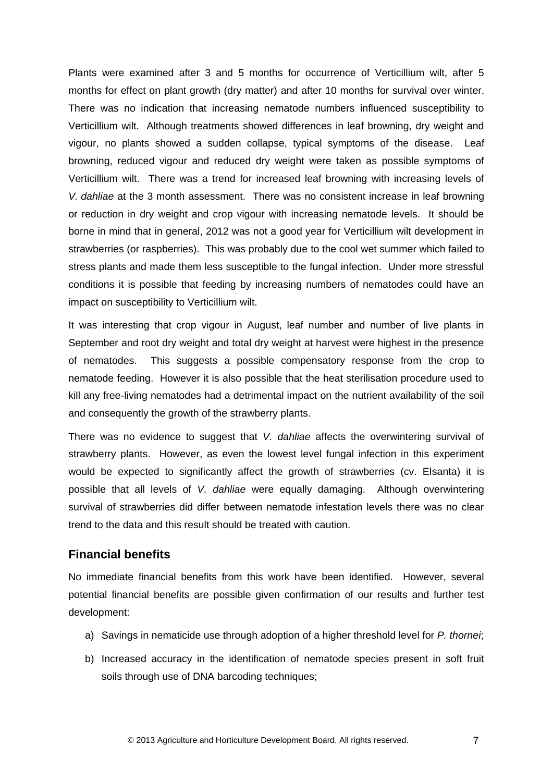Plants were examined after 3 and 5 months for occurrence of Verticillium wilt, after 5 months for effect on plant growth (dry matter) and after 10 months for survival over winter. There was no indication that increasing nematode numbers influenced susceptibility to Verticillium wilt. Although treatments showed differences in leaf browning, dry weight and vigour, no plants showed a sudden collapse, typical symptoms of the disease. Leaf browning, reduced vigour and reduced dry weight were taken as possible symptoms of Verticillium wilt. There was a trend for increased leaf browning with increasing levels of *V. dahliae* at the 3 month assessment. There was no consistent increase in leaf browning or reduction in dry weight and crop vigour with increasing nematode levels. It should be borne in mind that in general, 2012 was not a good year for Verticillium wilt development in strawberries (or raspberries). This was probably due to the cool wet summer which failed to stress plants and made them less susceptible to the fungal infection. Under more stressful conditions it is possible that feeding by increasing numbers of nematodes could have an impact on susceptibility to Verticillium wilt.

It was interesting that crop vigour in August, leaf number and number of live plants in September and root dry weight and total dry weight at harvest were highest in the presence of nematodes. This suggests a possible compensatory response from the crop to nematode feeding. However it is also possible that the heat sterilisation procedure used to kill any free-living nematodes had a detrimental impact on the nutrient availability of the soil and consequently the growth of the strawberry plants.

There was no evidence to suggest that *V. dahliae* affects the overwintering survival of strawberry plants. However, as even the lowest level fungal infection in this experiment would be expected to significantly affect the growth of strawberries (cv. Elsanta) it is possible that all levels of *V. dahliae* were equally damaging. Although overwintering survival of strawberries did differ between nematode infestation levels there was no clear trend to the data and this result should be treated with caution.

#### <span id="page-10-0"></span>**Financial benefits**

No immediate financial benefits from this work have been identified. However, several potential financial benefits are possible given confirmation of our results and further test development:

- a) Savings in nematicide use through adoption of a higher threshold level for *P. thornei*;
- b) Increased accuracy in the identification of nematode species present in soft fruit soils through use of DNA barcoding techniques;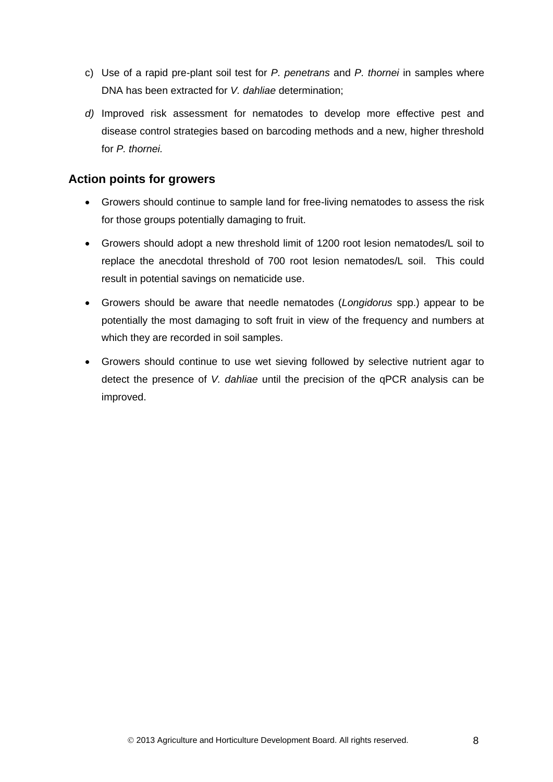- c) Use of a rapid pre-plant soil test for *P. penetrans* and *P. thornei* in samples where DNA has been extracted for *V. dahliae* determination;
- *d)* Improved risk assessment for nematodes to develop more effective pest and disease control strategies based on barcoding methods and a new, higher threshold for *P. thornei.*

## <span id="page-11-0"></span>**Action points for growers**

- Growers should continue to sample land for free-living nematodes to assess the risk for those groups potentially damaging to fruit.
- Growers should adopt a new threshold limit of 1200 root lesion nematodes/L soil to replace the anecdotal threshold of 700 root lesion nematodes/L soil. This could result in potential savings on nematicide use.
- Growers should be aware that needle nematodes (*Longidorus* spp.) appear to be potentially the most damaging to soft fruit in view of the frequency and numbers at which they are recorded in soil samples.
- <span id="page-11-1"></span> Growers should continue to use wet sieving followed by selective nutrient agar to detect the presence of *V. dahliae* until the precision of the qPCR analysis can be improved.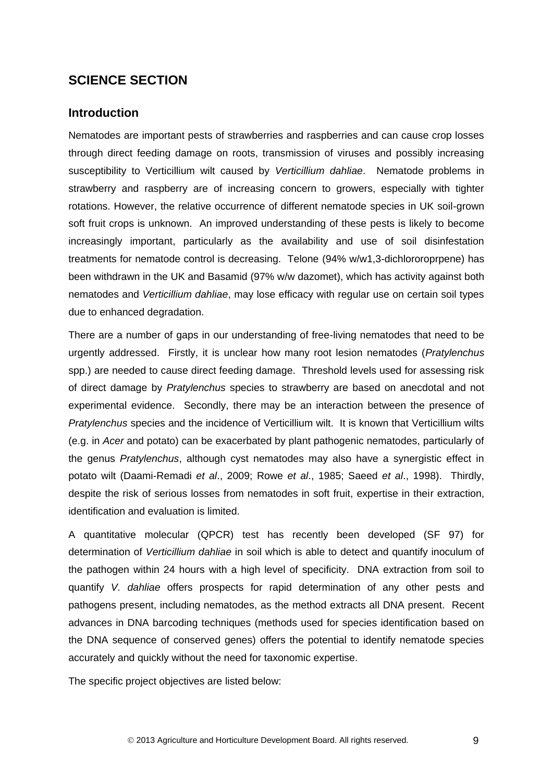## **SCIENCE SECTION**

#### <span id="page-12-0"></span>**Introduction**

Nematodes are important pests of strawberries and raspberries and can cause crop losses through direct feeding damage on roots, transmission of viruses and possibly increasing susceptibility to Verticillium wilt caused by *Verticillium dahliae*. Nematode problems in strawberry and raspberry are of increasing concern to growers, especially with tighter rotations. However, the relative occurrence of different nematode species in UK soil-grown soft fruit crops is unknown. An improved understanding of these pests is likely to become increasingly important, particularly as the availability and use of soil disinfestation treatments for nematode control is decreasing. Telone (94% w/w1,3-dichlororoprpene) has been withdrawn in the UK and Basamid (97% w/w dazomet), which has activity against both nematodes and *Verticillium dahliae*, may lose efficacy with regular use on certain soil types due to enhanced degradation.

There are a number of gaps in our understanding of free-living nematodes that need to be urgently addressed. Firstly, it is unclear how many root lesion nematodes (*Pratylenchus* spp.) are needed to cause direct feeding damage. Threshold levels used for assessing risk of direct damage by *Pratylenchus* species to strawberry are based on anecdotal and not experimental evidence. Secondly, there may be an interaction between the presence of *Pratylenchus* species and the incidence of Verticillium wilt. It is known that Verticillium wilts (e.g. in *Acer* and potato) can be exacerbated by plant pathogenic nematodes, particularly of the genus *Pratylenchus*, although cyst nematodes may also have a synergistic effect in potato wilt (Daami-Remadi *et al*., 2009; Rowe *et al*., 1985; Saeed *et al*., 1998). Thirdly, despite the risk of serious losses from nematodes in soft fruit, expertise in their extraction, identification and evaluation is limited.

A quantitative molecular (QPCR) test has recently been developed (SF 97) for determination of *Verticillium dahliae* in soil which is able to detect and quantify inoculum of the pathogen within 24 hours with a high level of specificity. DNA extraction from soil to quantify *V. dahliae* offers prospects for rapid determination of any other pests and pathogens present, including nematodes, as the method extracts all DNA present. Recent advances in DNA barcoding techniques (methods used for species identification based on the DNA sequence of conserved genes) offers the potential to identify nematode species accurately and quickly without the need for taxonomic expertise.

The specific project objectives are listed below: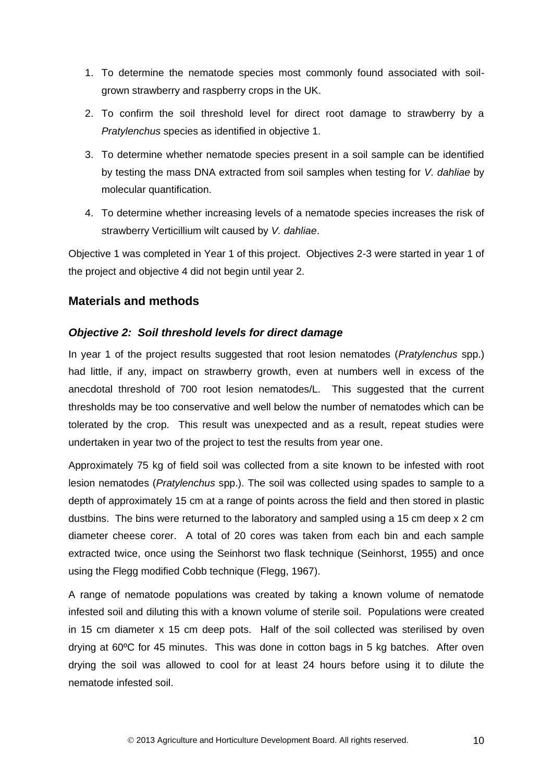- 1. To determine the nematode species most commonly found associated with soilgrown strawberry and raspberry crops in the UK.
- 2. To confirm the soil threshold level for direct root damage to strawberry by a *Pratylenchus* species as identified in objective 1.
- 3. To determine whether nematode species present in a soil sample can be identified by testing the mass DNA extracted from soil samples when testing for *V. dahliae* by molecular quantification.
- 4. To determine whether increasing levels of a nematode species increases the risk of strawberry Verticillium wilt caused by *V. dahliae*.

Objective 1 was completed in Year 1 of this project. Objectives 2-3 were started in year 1 of the project and objective 4 did not begin until year 2.

## <span id="page-13-0"></span>**Materials and methods**

## <span id="page-13-1"></span>*Objective 2: Soil threshold levels for direct damage*

In year 1 of the project results suggested that root lesion nematodes (*Pratylenchus* spp.) had little, if any, impact on strawberry growth, even at numbers well in excess of the anecdotal threshold of 700 root lesion nematodes/L. This suggested that the current thresholds may be too conservative and well below the number of nematodes which can be tolerated by the crop. This result was unexpected and as a result, repeat studies were undertaken in year two of the project to test the results from year one.

Approximately 75 kg of field soil was collected from a site known to be infested with root lesion nematodes (*Pratylenchus* spp.). The soil was collected using spades to sample to a depth of approximately 15 cm at a range of points across the field and then stored in plastic dustbins. The bins were returned to the laboratory and sampled using a 15 cm deep x 2 cm diameter cheese corer. A total of 20 cores was taken from each bin and each sample extracted twice, once using the Seinhorst two flask technique (Seinhorst, 1955) and once using the Flegg modified Cobb technique (Flegg, 1967).

A range of nematode populations was created by taking a known volume of nematode infested soil and diluting this with a known volume of sterile soil. Populations were created in 15 cm diameter x 15 cm deep pots. Half of the soil collected was sterilised by oven drying at 60ºC for 45 minutes. This was done in cotton bags in 5 kg batches. After oven drying the soil was allowed to cool for at least 24 hours before using it to dilute the nematode infested soil.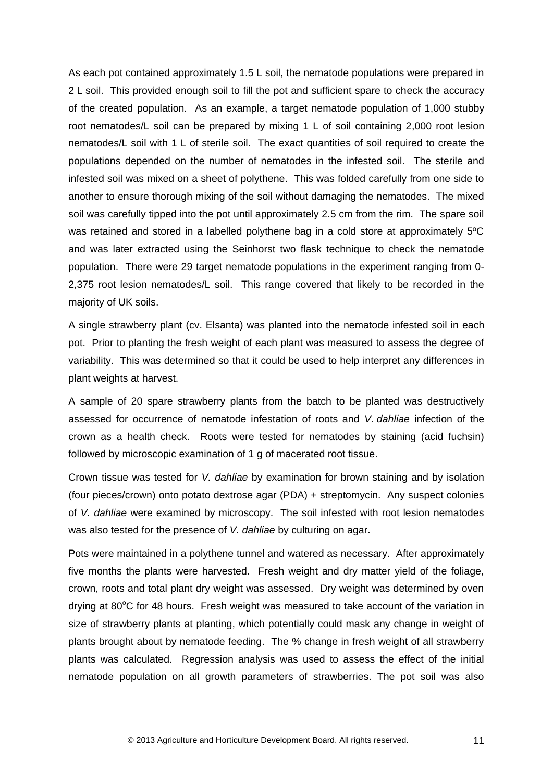As each pot contained approximately 1.5 L soil, the nematode populations were prepared in 2 L soil. This provided enough soil to fill the pot and sufficient spare to check the accuracy of the created population. As an example, a target nematode population of 1,000 stubby root nematodes/L soil can be prepared by mixing 1 L of soil containing 2,000 root lesion nematodes/L soil with 1 L of sterile soil. The exact quantities of soil required to create the populations depended on the number of nematodes in the infested soil. The sterile and infested soil was mixed on a sheet of polythene. This was folded carefully from one side to another to ensure thorough mixing of the soil without damaging the nematodes. The mixed soil was carefully tipped into the pot until approximately 2.5 cm from the rim. The spare soil was retained and stored in a labelled polythene bag in a cold store at approximately 5°C and was later extracted using the Seinhorst two flask technique to check the nematode population. There were 29 target nematode populations in the experiment ranging from 0- 2,375 root lesion nematodes/L soil. This range covered that likely to be recorded in the majority of UK soils.

A single strawberry plant (cv. Elsanta) was planted into the nematode infested soil in each pot. Prior to planting the fresh weight of each plant was measured to assess the degree of variability. This was determined so that it could be used to help interpret any differences in plant weights at harvest.

A sample of 20 spare strawberry plants from the batch to be planted was destructively assessed for occurrence of nematode infestation of roots and *V. dahliae* infection of the crown as a health check. Roots were tested for nematodes by staining (acid fuchsin) followed by microscopic examination of 1 g of macerated root tissue.

Crown tissue was tested for *V. dahliae* by examination for brown staining and by isolation (four pieces/crown) onto potato dextrose agar (PDA) + streptomycin. Any suspect colonies of *V. dahliae* were examined by microscopy. The soil infested with root lesion nematodes was also tested for the presence of *V. dahliae* by culturing on agar.

Pots were maintained in a polythene tunnel and watered as necessary. After approximately five months the plants were harvested. Fresh weight and dry matter yield of the foliage, crown, roots and total plant dry weight was assessed. Dry weight was determined by oven drying at  $80^{\circ}$ C for 48 hours. Fresh weight was measured to take account of the variation in size of strawberry plants at planting, which potentially could mask any change in weight of plants brought about by nematode feeding. The % change in fresh weight of all strawberry plants was calculated. Regression analysis was used to assess the effect of the initial nematode population on all growth parameters of strawberries. The pot soil was also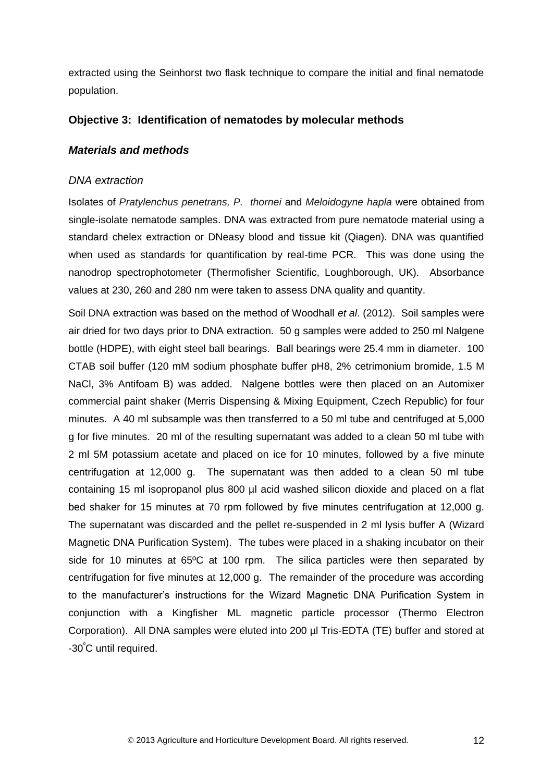extracted using the Seinhorst two flask technique to compare the initial and final nematode population.

#### <span id="page-15-0"></span>**Objective 3: Identification of nematodes by molecular methods**

#### *Materials and methods*

#### *DNA extraction*

Isolates of *Pratylenchus penetrans, P. thornei* and *Meloidogyne hapla* were obtained from single-isolate nematode samples. DNA was extracted from pure nematode material using a standard chelex extraction or DNeasy blood and tissue kit (Qiagen). DNA was quantified when used as standards for quantification by real-time PCR. This was done using the nanodrop spectrophotometer (Thermofisher Scientific, Loughborough, UK). Absorbance values at 230, 260 and 280 nm were taken to assess DNA quality and quantity.

Soil DNA extraction was based on the method of Woodhall *et al*. (2012). Soil samples were air dried for two days prior to DNA extraction. 50 g samples were added to 250 ml Nalgene bottle (HDPE), with eight steel ball bearings. Ball bearings were 25.4 mm in diameter. 100 CTAB soil buffer (120 mM sodium phosphate buffer pH8, 2% cetrimonium bromide, 1.5 M NaCl, 3% Antifoam B) was added. Nalgene bottles were then placed on an Automixer commercial paint shaker (Merris Dispensing & Mixing Equipment, Czech Republic) for four minutes. A 40 ml subsample was then transferred to a 50 ml tube and centrifuged at 5,000 g for five minutes. 20 ml of the resulting supernatant was added to a clean 50 ml tube with 2 ml 5M potassium acetate and placed on ice for 10 minutes, followed by a five minute centrifugation at 12,000 g. The supernatant was then added to a clean 50 ml tube containing 15 ml isopropanol plus 800 µl acid washed silicon dioxide and placed on a flat bed shaker for 15 minutes at 70 rpm followed by five minutes centrifugation at 12,000 g. The supernatant was discarded and the pellet re-suspended in 2 ml lysis buffer A (Wizard Magnetic DNA Purification System). The tubes were placed in a shaking incubator on their side for 10 minutes at 65ºC at 100 rpm. The silica particles were then separated by centrifugation for five minutes at 12,000 g. The remainder of the procedure was according to the manufacturer's instructions for the Wizard Magnetic DNA Purification System in conjunction with a Kingfisher ML magnetic particle processor (Thermo Electron Corporation). All DNA samples were eluted into 200 µl Tris-EDTA (TE) buffer and stored at -30<sup>º</sup>C until required.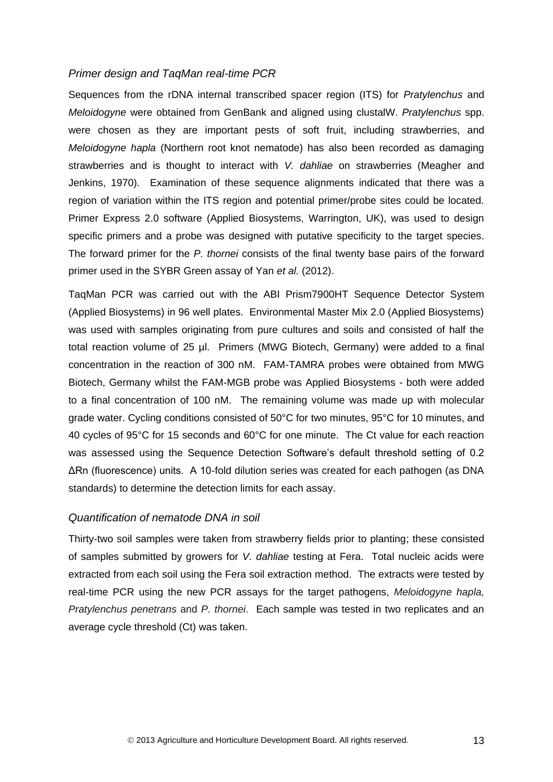#### *Primer design and TaqMan real-time PCR*

Sequences from the rDNA internal transcribed spacer region (ITS) for *Pratylenchus* and *Meloidogyne* were obtained from GenBank and aligned using clustalW. *Pratylenchus* spp. were chosen as they are important pests of soft fruit, including strawberries, and *Meloidogyne hapla* (Northern root knot nematode) has also been recorded as damaging strawberries and is thought to interact with *V. dahliae* on strawberries (Meagher and Jenkins, 1970). Examination of these sequence alignments indicated that there was a region of variation within the ITS region and potential primer/probe sites could be located. Primer Express 2.0 software (Applied Biosystems, Warrington, UK), was used to design specific primers and a probe was designed with putative specificity to the target species. The forward primer for the *P. thornei* consists of the final twenty base pairs of the forward primer used in the SYBR Green assay of Yan *et al.* (2012).

TaqMan PCR was carried out with the ABI Prism7900HT Sequence Detector System (Applied Biosystems) in 96 well plates. Environmental Master Mix 2.0 (Applied Biosystems) was used with samples originating from pure cultures and soils and consisted of half the total reaction volume of 25 µl. Primers (MWG Biotech, Germany) were added to a final concentration in the reaction of 300 nM. FAM-TAMRA probes were obtained from MWG Biotech, Germany whilst the FAM-MGB probe was Applied Biosystems - both were added to a final concentration of 100 nM. The remaining volume was made up with molecular grade water. Cycling conditions consisted of 50°C for two minutes, 95°C for 10 minutes, and 40 cycles of 95°C for 15 seconds and 60°C for one minute. The Ct value for each reaction was assessed using the Sequence Detection Software's default threshold setting of 0.2 ΔRn (fluorescence) units. A 10-fold dilution series was created for each pathogen (as DNA standards) to determine the detection limits for each assay.

#### *Quantification of nematode DNA in soil*

Thirty-two soil samples were taken from strawberry fields prior to planting; these consisted of samples submitted by growers for *V. dahliae* testing at Fera. Total nucleic acids were extracted from each soil using the Fera soil extraction method. The extracts were tested by real-time PCR using the new PCR assays for the target pathogens, *Meloidogyne hapla, Pratylenchus penetrans* and *P. thornei*. Each sample was tested in two replicates and an average cycle threshold (Ct) was taken.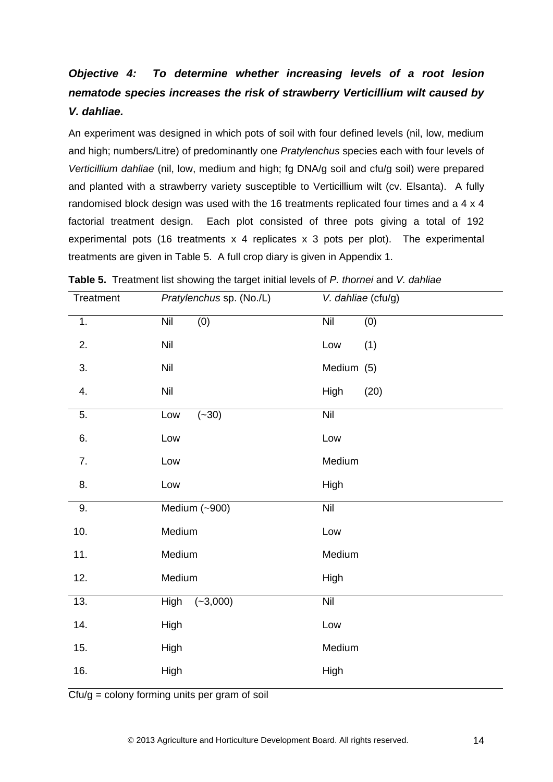# <span id="page-17-0"></span>*Objective 4: To determine whether increasing levels of a root lesion nematode species increases the risk of strawberry Verticillium wilt caused by V. dahliae.*

An experiment was designed in which pots of soil with four defined levels (nil, low, medium and high; numbers/Litre) of predominantly one *Pratylenchus* species each with four levels of *Verticillium dahliae* (nil, low, medium and high; fg DNA/g soil and cfu/g soil) were prepared and planted with a strawberry variety susceptible to Verticillium wilt (cv. Elsanta). A fully randomised block design was used with the 16 treatments replicated four times and a 4 x 4 factorial treatment design. Each plot consisted of three pots giving a total of 192 experimental pots (16 treatments x 4 replicates x 3 pots per plot). The experimental treatments are given in Table 5. A full crop diary is given in Appendix 1.

| Treatment | Pratylenchus sp. (No./L)  | V. dahliae (cfu/g) |
|-----------|---------------------------|--------------------|
| 1.        | (0)<br><b>Nil</b>         | Nil<br>(0)         |
| 2.        | Nil                       | Low<br>(1)         |
| 3.        | Nil                       | Medium (5)         |
| 4.        | Nil                       | (20)<br>High       |
| 5.        | $(-30)$<br>Low            | Nil                |
| 6.        | Low                       | Low                |
| 7.        | Low                       | Medium             |
| 8.        | Low                       | High               |
| 9.        | Medium (~900)             | Nil                |
| 10.       | Medium                    | Low                |
| 11.       | Medium                    | Medium             |
| 12.       | Medium                    | High               |
| 13.       | <b>High</b><br>$(-3,000)$ | Nil                |
| 14.       | <b>High</b>               | Low                |
| 15.       | High                      | Medium             |
| 16.       | High                      | High               |

| <b>Table 5.</b> Treatment list showing the target initial levels of P. thornei and V. dahliae |  |  |  |
|-----------------------------------------------------------------------------------------------|--|--|--|
|                                                                                               |  |  |  |

 $\overline{C}$ fu/g = colony forming units per gram of soil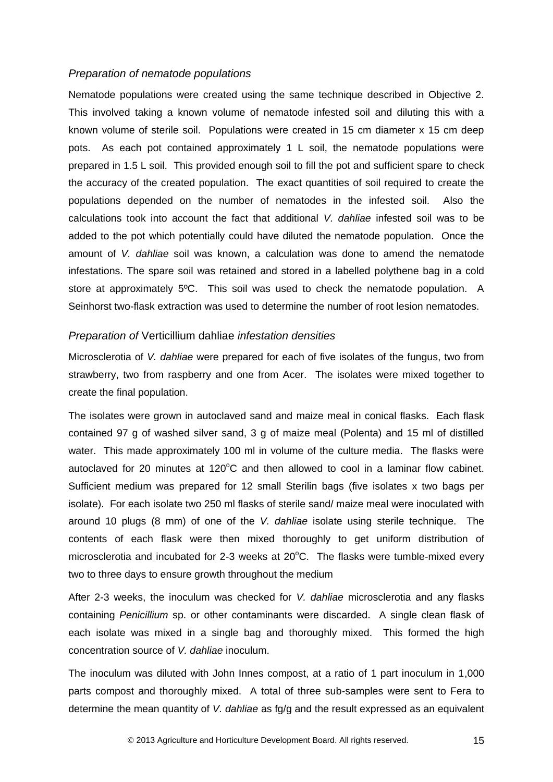#### *Preparation of nematode populations*

Nematode populations were created using the same technique described in Objective 2. This involved taking a known volume of nematode infested soil and diluting this with a known volume of sterile soil. Populations were created in 15 cm diameter x 15 cm deep pots. As each pot contained approximately 1 L soil, the nematode populations were prepared in 1.5 L soil. This provided enough soil to fill the pot and sufficient spare to check the accuracy of the created population. The exact quantities of soil required to create the populations depended on the number of nematodes in the infested soil. Also the calculations took into account the fact that additional *V. dahliae* infested soil was to be added to the pot which potentially could have diluted the nematode population. Once the amount of *V. dahliae* soil was known, a calculation was done to amend the nematode infestations. The spare soil was retained and stored in a labelled polythene bag in a cold store at approximately 5ºC. This soil was used to check the nematode population. A Seinhorst two-flask extraction was used to determine the number of root lesion nematodes.

#### *Preparation of* Verticillium dahliae *infestation densities*

Microsclerotia of *V. dahliae* were prepared for each of five isolates of the fungus, two from strawberry, two from raspberry and one from Acer. The isolates were mixed together to create the final population.

The isolates were grown in autoclaved sand and maize meal in conical flasks. Each flask contained 97 g of washed silver sand, 3 g of maize meal (Polenta) and 15 ml of distilled water. This made approximately 100 ml in volume of the culture media. The flasks were autoclaved for 20 minutes at  $120^{\circ}$ C and then allowed to cool in a laminar flow cabinet. Sufficient medium was prepared for 12 small Sterilin bags (five isolates x two bags per isolate). For each isolate two 250 ml flasks of sterile sand/ maize meal were inoculated with around 10 plugs (8 mm) of one of the *V. dahliae* isolate using sterile technique. The contents of each flask were then mixed thoroughly to get uniform distribution of microsclerotia and incubated for 2-3 weeks at  $20^{\circ}$ C. The flasks were tumble-mixed every two to three days to ensure growth throughout the medium

After 2-3 weeks, the inoculum was checked for *V. dahliae* microsclerotia and any flasks containing *Penicillium* sp. or other contaminants were discarded. A single clean flask of each isolate was mixed in a single bag and thoroughly mixed. This formed the high concentration source of *V. dahliae* inoculum.

The inoculum was diluted with John Innes compost, at a ratio of 1 part inoculum in 1,000 parts compost and thoroughly mixed. A total of three sub-samples were sent to Fera to determine the mean quantity of *V. dahliae* as fg/g and the result expressed as an equivalent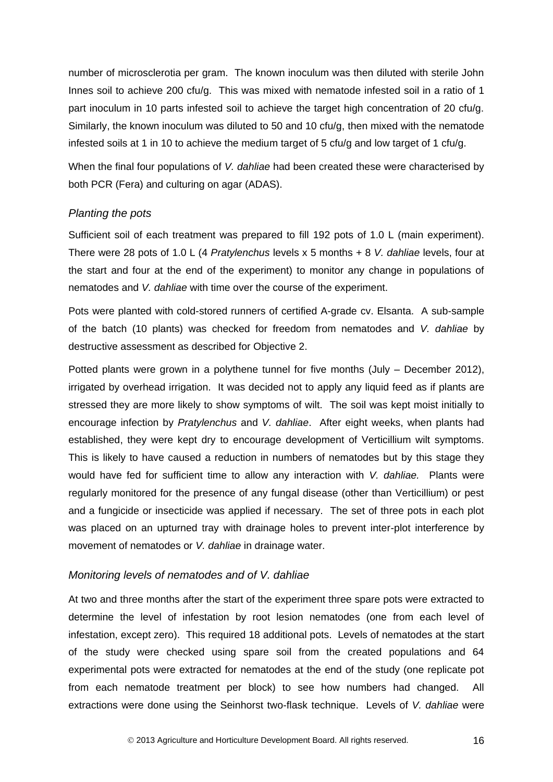number of microsclerotia per gram. The known inoculum was then diluted with sterile John Innes soil to achieve 200 cfu/g. This was mixed with nematode infested soil in a ratio of 1 part inoculum in 10 parts infested soil to achieve the target high concentration of 20 cfu/g. Similarly, the known inoculum was diluted to 50 and 10 cfu/g, then mixed with the nematode infested soils at 1 in 10 to achieve the medium target of 5 cfu/g and low target of 1 cfu/g.

When the final four populations of *V. dahliae* had been created these were characterised by both PCR (Fera) and culturing on agar (ADAS).

#### *Planting the pots*

Sufficient soil of each treatment was prepared to fill 192 pots of 1.0 L (main experiment). There were 28 pots of 1.0 L (4 *Pratylenchus* levels x 5 months + 8 *V. dahliae* levels, four at the start and four at the end of the experiment) to monitor any change in populations of nematodes and *V. dahliae* with time over the course of the experiment.

Pots were planted with cold-stored runners of certified A-grade cv. Elsanta. A sub-sample of the batch (10 plants) was checked for freedom from nematodes and *V. dahliae* by destructive assessment as described for Objective 2.

Potted plants were grown in a polythene tunnel for five months (July – December 2012), irrigated by overhead irrigation. It was decided not to apply any liquid feed as if plants are stressed they are more likely to show symptoms of wilt. The soil was kept moist initially to encourage infection by *Pratylenchus* and *V. dahliae*. After eight weeks, when plants had established, they were kept dry to encourage development of Verticillium wilt symptoms. This is likely to have caused a reduction in numbers of nematodes but by this stage they would have fed for sufficient time to allow any interaction with *V. dahliae.* Plants were regularly monitored for the presence of any fungal disease (other than Verticillium) or pest and a fungicide or insecticide was applied if necessary. The set of three pots in each plot was placed on an upturned tray with drainage holes to prevent inter-plot interference by movement of nematodes or *V. dahliae* in drainage water.

#### *Monitoring levels of nematodes and of V. dahliae*

At two and three months after the start of the experiment three spare pots were extracted to determine the level of infestation by root lesion nematodes (one from each level of infestation, except zero). This required 18 additional pots. Levels of nematodes at the start of the study were checked using spare soil from the created populations and 64 experimental pots were extracted for nematodes at the end of the study (one replicate pot from each nematode treatment per block) to see how numbers had changed. All extractions were done using the Seinhorst two-flask technique. Levels of *V. dahliae* were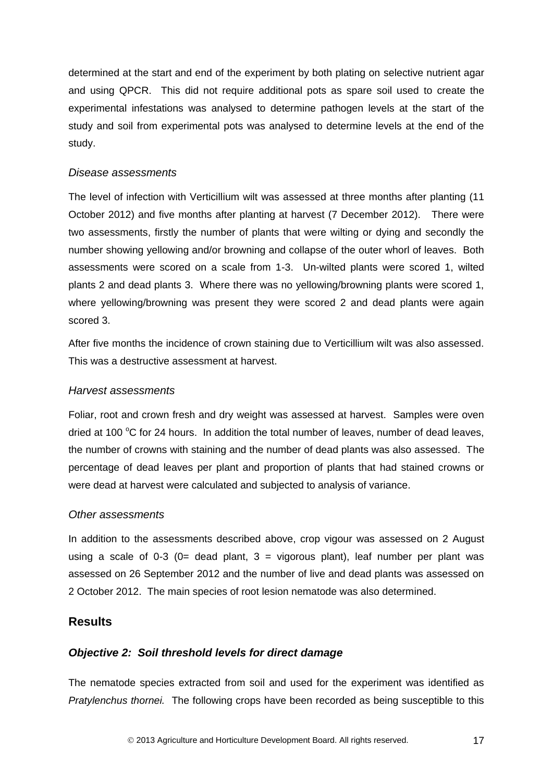determined at the start and end of the experiment by both plating on selective nutrient agar and using QPCR. This did not require additional pots as spare soil used to create the experimental infestations was analysed to determine pathogen levels at the start of the study and soil from experimental pots was analysed to determine levels at the end of the study.

#### *Disease assessments*

The level of infection with Verticillium wilt was assessed at three months after planting (11 October 2012) and five months after planting at harvest (7 December 2012). There were two assessments, firstly the number of plants that were wilting or dying and secondly the number showing yellowing and/or browning and collapse of the outer whorl of leaves. Both assessments were scored on a scale from 1-3. Un-wilted plants were scored 1, wilted plants 2 and dead plants 3. Where there was no yellowing/browning plants were scored 1, where yellowing/browning was present they were scored 2 and dead plants were again scored 3.

After five months the incidence of crown staining due to Verticillium wilt was also assessed. This was a destructive assessment at harvest.

#### *Harvest assessments*

Foliar, root and crown fresh and dry weight was assessed at harvest. Samples were oven dried at 100  $\degree$ C for 24 hours. In addition the total number of leaves, number of dead leaves, the number of crowns with staining and the number of dead plants was also assessed. The percentage of dead leaves per plant and proportion of plants that had stained crowns or were dead at harvest were calculated and subjected to analysis of variance.

#### *Other assessments*

In addition to the assessments described above, crop vigour was assessed on 2 August using a scale of 0-3 (0= dead plant,  $3 =$  vigorous plant), leaf number per plant was assessed on 26 September 2012 and the number of live and dead plants was assessed on 2 October 2012. The main species of root lesion nematode was also determined.

### <span id="page-20-0"></span>**Results**

#### <span id="page-20-1"></span>*Objective 2: Soil threshold levels for direct damage*

The nematode species extracted from soil and used for the experiment was identified as *Pratylenchus thornei.* The following crops have been recorded as being susceptible to this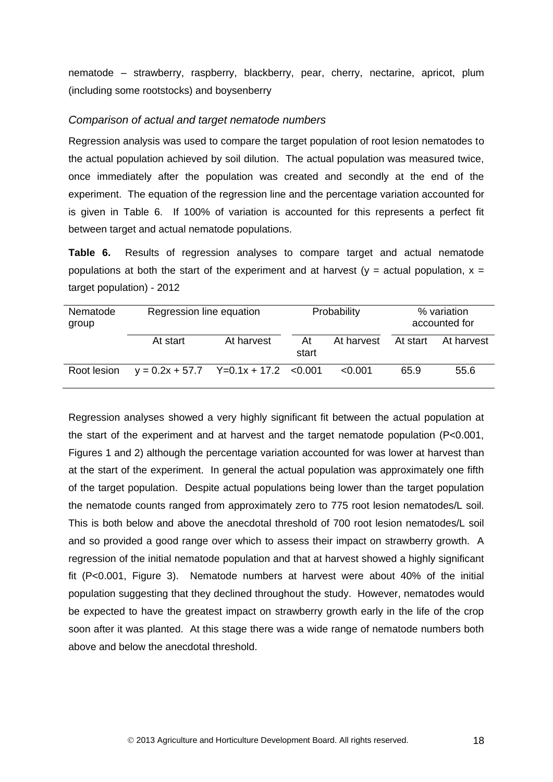nematode – strawberry, raspberry, blackberry, pear, cherry, nectarine, apricot, plum (including some rootstocks) and boysenberry

#### *Comparison of actual and target nematode numbers*

Regression analysis was used to compare the target population of root lesion nematodes to the actual population achieved by soil dilution. The actual population was measured twice, once immediately after the population was created and secondly at the end of the experiment. The equation of the regression line and the percentage variation accounted for is given in Table 6. If 100% of variation is accounted for this represents a perfect fit between target and actual nematode populations.

**Table 6.** Results of regression analyses to compare target and actual nematode populations at both the start of the experiment and at harvest ( $y =$  actual population,  $x =$ target population) - 2012

| Nematode<br>group |                                         | Regression line equation |             | Probability |          | % variation<br>accounted for |  |
|-------------------|-----------------------------------------|--------------------------|-------------|-------------|----------|------------------------------|--|
|                   | At start                                | At harvest               | At<br>start | At harvest  | At start | At harvest                   |  |
| Root lesion       | $y = 0.2x + 57.7$ Y=0.1x + 17.2 < 0.001 |                          |             | < 0.001     | 65.9     | 55.6                         |  |

Regression analyses showed a very highly significant fit between the actual population at the start of the experiment and at harvest and the target nematode population (P<0.001, Figures 1 and 2) although the percentage variation accounted for was lower at harvest than at the start of the experiment. In general the actual population was approximately one fifth of the target population. Despite actual populations being lower than the target population the nematode counts ranged from approximately zero to 775 root lesion nematodes/L soil. This is both below and above the anecdotal threshold of 700 root lesion nematodes/L soil and so provided a good range over which to assess their impact on strawberry growth. A regression of the initial nematode population and that at harvest showed a highly significant fit (P<0.001, Figure 3). Nematode numbers at harvest were about 40% of the initial population suggesting that they declined throughout the study. However, nematodes would be expected to have the greatest impact on strawberry growth early in the life of the crop soon after it was planted. At this stage there was a wide range of nematode numbers both above and below the anecdotal threshold.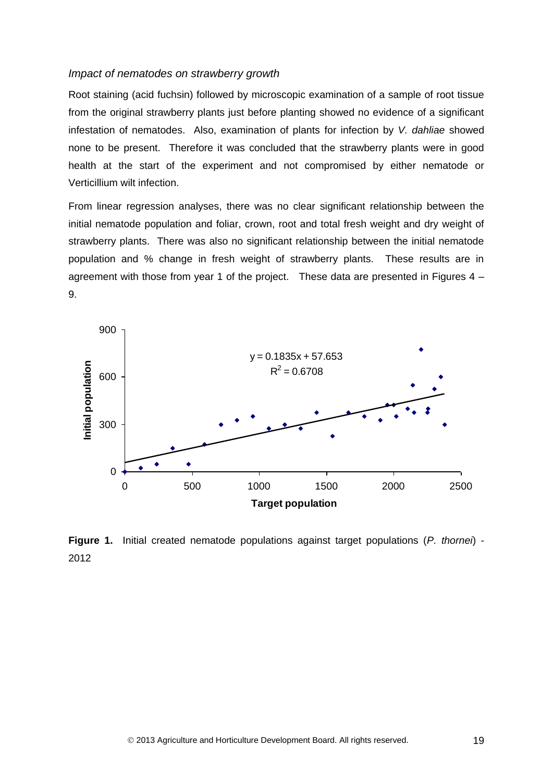#### *Impact of nematodes on strawberry growth*

Root staining (acid fuchsin) followed by microscopic examination of a sample of root tissue from the original strawberry plants just before planting showed no evidence of a significant infestation of nematodes. Also, examination of plants for infection by *V. dahliae* showed none to be present. Therefore it was concluded that the strawberry plants were in good health at the start of the experiment and not compromised by either nematode or Verticillium wilt infection.

From linear regression analyses, there was no clear significant relationship between the initial nematode population and foliar, crown, root and total fresh weight and dry weight of strawberry plants. There was also no significant relationship between the initial nematode population and % change in fresh weight of strawberry plants. These results are in agreement with those from year 1 of the project. These data are presented in Figures 4 – 9.



**Figure 1.** Initial created nematode populations against target populations (*P. thornei*) - 2012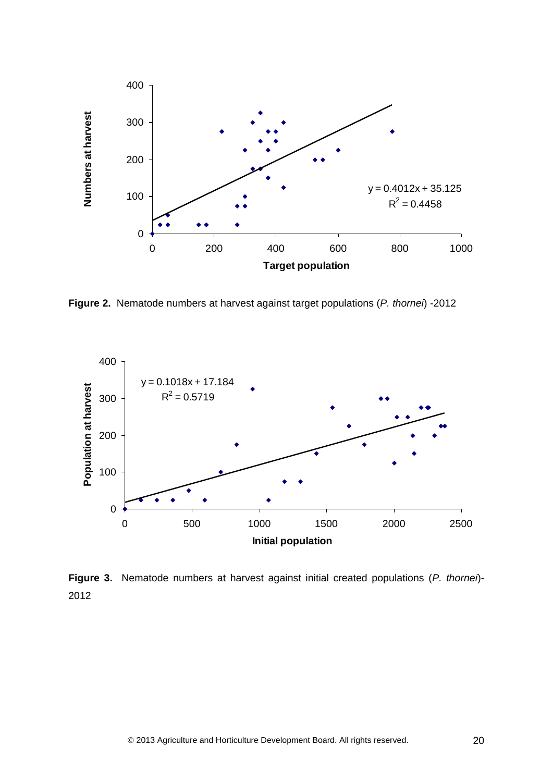

**Figure 2.** Nematode numbers at harvest against target populations (*P. thornei*) -2012



**Figure 3.** Nematode numbers at harvest against initial created populations (*P. thornei*)- 2012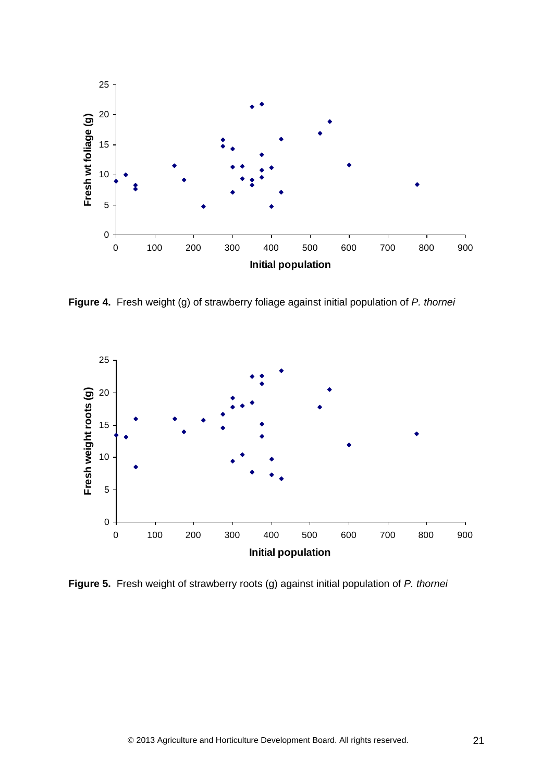

**Figure 4.** Fresh weight (g) of strawberry foliage against initial population of *P. thornei* 



**Figure 5.** Fresh weight of strawberry roots (g) against initial population of *P. thornei*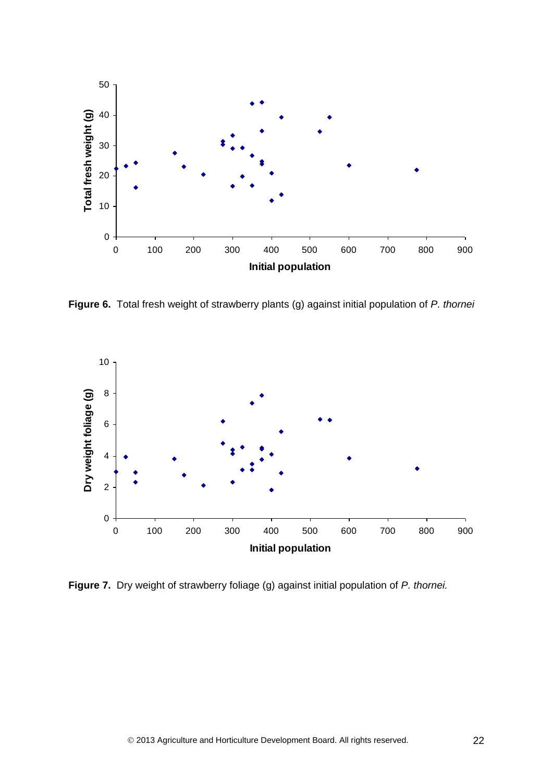

**Figure 6.** Total fresh weight of strawberry plants (g) against initial population of *P. thornei*



**Figure 7.** Dry weight of strawberry foliage (g) against initial population of *P. thornei.*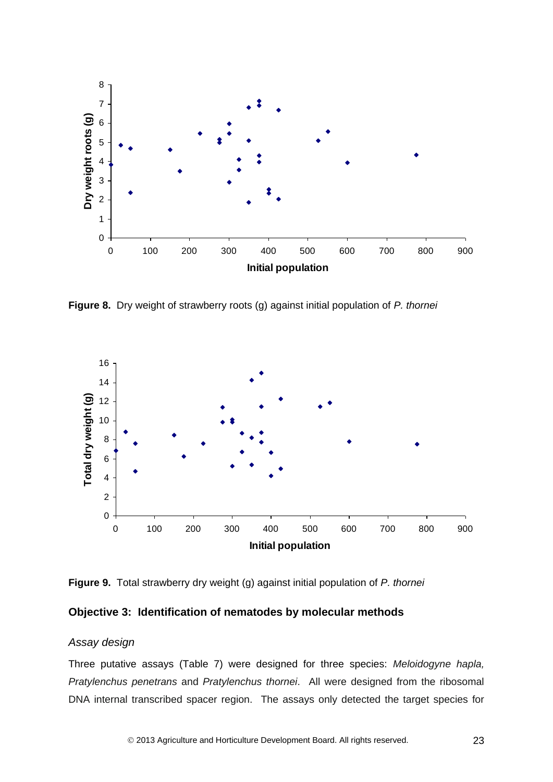

**Figure 8.** Dry weight of strawberry roots (g) against initial population of *P. thornei*



**Figure 9.** Total strawberry dry weight (g) against initial population of *P. thornei*

#### <span id="page-26-0"></span>**Objective 3: Identification of nematodes by molecular methods**

### *Assay design*

Three putative assays (Table 7) were designed for three species: *Meloidogyne hapla, Pratylenchus penetrans* and *Pratylenchus thornei*. All were designed from the ribosomal DNA internal transcribed spacer region. The assays only detected the target species for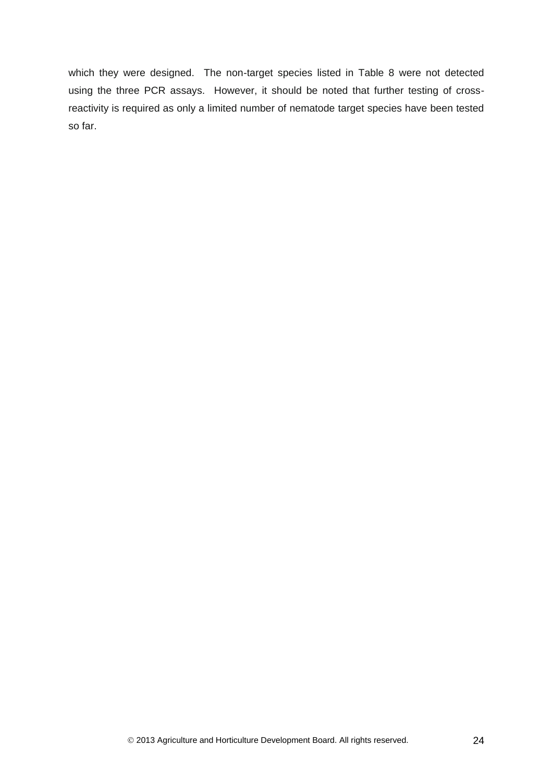which they were designed. The non-target species listed in Table 8 were not detected using the three PCR assays. However, it should be noted that further testing of crossreactivity is required as only a limited number of nematode target species have been tested so far.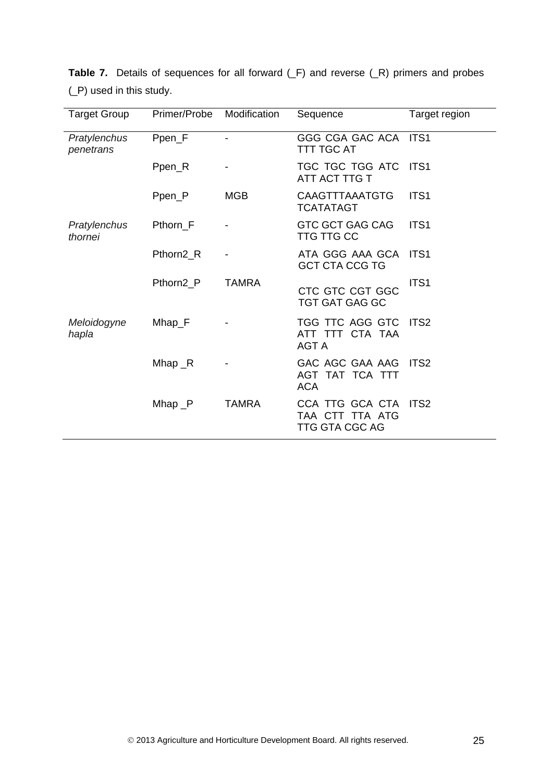| <b>Target Group</b>       | Primer/Probe | Modification | Sequence                                                    | Target region    |
|---------------------------|--------------|--------------|-------------------------------------------------------------|------------------|
| Pratylenchus<br>penetrans | Ppen_F       |              | GGG CGA GAC ACA ITS1<br><b>TTT TGC AT</b>                   |                  |
|                           | Ppen_R       |              | TGC TGC TGG ATC<br>ATT ACT TTG T                            | ITS1             |
|                           | Ppen_P       | <b>MGB</b>   | CAAGTTTAAATGTG<br><b>TCATATAGT</b>                          | ITS <sub>1</sub> |
| Pratylenchus<br>thornei   | Pthorn F     |              | <b>GTC GCT GAG CAG</b><br><b>TTG TTG CC</b>                 | ITS <sub>1</sub> |
|                           | Pthorn2_R    |              | ATA GGG AAA GCA ITS1<br><b>GCT CTA CCG TG</b>               |                  |
|                           | Pthorn2 P    | <b>TAMRA</b> | CTC GTC CGT GGC<br><b>TGT GAT GAG GC</b>                    | ITS <sub>1</sub> |
| Meloidogyne<br>hapla      | $M$ hap_ $F$ |              | TGG TTC AGG GTC<br>ATT TTT CTA TAA<br><b>AGT A</b>          | ITS <sub>2</sub> |
|                           | Mhap $_R$    |              | GAC AGC GAA AAG<br>AGT TAT TCA TTT<br><b>ACA</b>            | ITS <sub>2</sub> |
|                           | Mhap $_P$    | <b>TAMRA</b> | CCA TTG GCA CTA<br>TAA CTT TTA ATG<br><b>TTG GTA CGC AG</b> | ITS <sub>2</sub> |

**Table 7.** Details of sequences for all forward (\_F) and reverse (\_R) primers and probes (\_P) used in this study.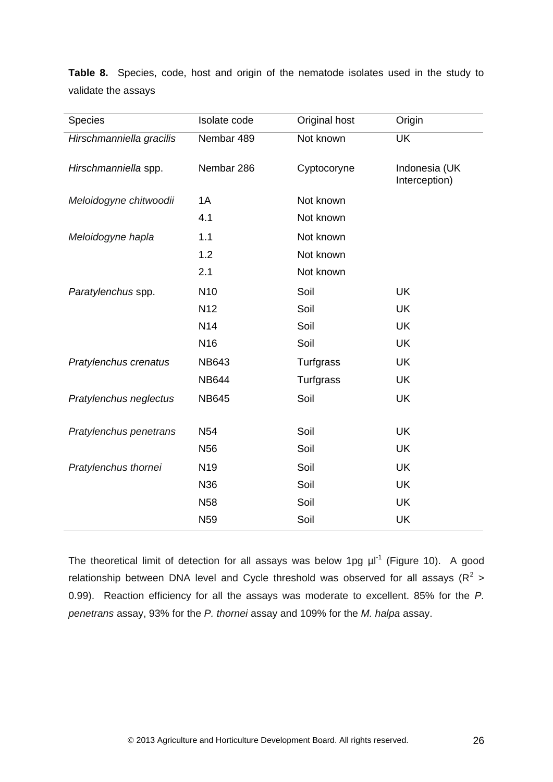| <b>Species</b>           | Isolate code    | Original host | Origin                         |
|--------------------------|-----------------|---------------|--------------------------------|
| Hirschmanniella gracilis | Nembar 489      | Not known     | <b>UK</b>                      |
| Hirschmanniella spp.     | Nembar 286      | Cyptocoryne   | Indonesia (UK<br>Interception) |
| Meloidogyne chitwoodii   | 1A              | Not known     |                                |
|                          | 4.1             | Not known     |                                |
| Meloidogyne hapla        | 1.1             | Not known     |                                |
|                          | 1.2             | Not known     |                                |
|                          | 2.1             | Not known     |                                |
| Paratylenchus spp.       | N <sub>10</sub> | Soil          | <b>UK</b>                      |
|                          | N <sub>12</sub> | Soil          | <b>UK</b>                      |
|                          | N <sub>14</sub> | Soil          | UK                             |
|                          | N <sub>16</sub> | Soil          | <b>UK</b>                      |
| Pratylenchus crenatus    | <b>NB643</b>    | Turfgrass     | <b>UK</b>                      |
|                          | <b>NB644</b>    | Turfgrass     | <b>UK</b>                      |
| Pratylenchus neglectus   | <b>NB645</b>    | Soil          | <b>UK</b>                      |
|                          |                 |               |                                |
| Pratylenchus penetrans   | N <sub>54</sub> | Soil          | <b>UK</b>                      |
|                          | N <sub>56</sub> | Soil          | <b>UK</b>                      |
| Pratylenchus thornei     | N <sub>19</sub> | Soil          | <b>UK</b>                      |
|                          | N36             | Soil          | <b>UK</b>                      |
|                          | <b>N58</b>      | Soil          | <b>UK</b>                      |
|                          | N <sub>59</sub> | Soil          | UK                             |

**Table 8.** Species, code, host and origin of the nematode isolates used in the study to validate the assays

The theoretical limit of detection for all assays was below 1pg  $\mu$ I<sup>-1</sup> (Figure 10). A good relationship between DNA level and Cycle threshold was observed for all assays ( $R^2$  > 0.99). Reaction efficiency for all the assays was moderate to excellent. 85% for the *P. penetrans* assay, 93% for the *P. thornei* assay and 109% for the *M. halpa* assay.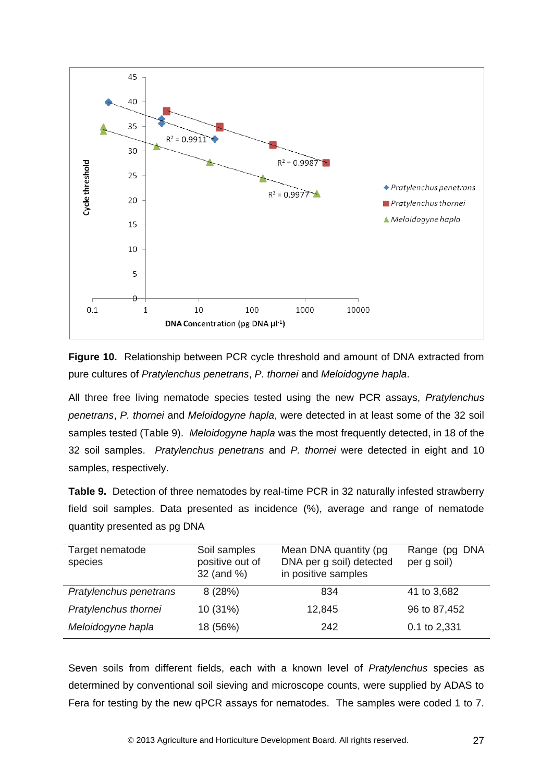

**Figure 10.** Relationship between PCR cycle threshold and amount of DNA extracted from pure cultures of *Pratylenchus penetrans*, *P. thornei* and *Meloidogyne hapla*.

All three free living nematode species tested using the new PCR assays, *Pratylenchus penetrans*, *P. thornei* and *Meloidogyne hapla*, were detected in at least some of the 32 soil samples tested (Table 9). *Meloidogyne hapla* was the most frequently detected, in 18 of the 32 soil samples. *Pratylenchus penetrans* and *P. thornei* were detected in eight and 10 samples, respectively.

**Table 9.** Detection of three nematodes by real-time PCR in 32 naturally infested strawberry field soil samples. Data presented as incidence (%), average and range of nematode quantity presented as pg DNA

| Soil samples<br>positive out of<br>32 (and %) | Mean DNA quantity (pg)<br>DNA per g soil) detected<br>in positive samples | Range (pg DNA<br>per g soil) |
|-----------------------------------------------|---------------------------------------------------------------------------|------------------------------|
| 8(28%)                                        | 834                                                                       | 41 to 3,682                  |
| 10 (31%)                                      | 12,845                                                                    | 96 to 87,452                 |
| 18 (56%)                                      | 242                                                                       | 0.1 to 2,331                 |
|                                               |                                                                           |                              |

Seven soils from different fields, each with a known level of *Pratylenchus* species as determined by conventional soil sieving and microscope counts, were supplied by ADAS to Fera for testing by the new qPCR assays for nematodes. The samples were coded 1 to 7.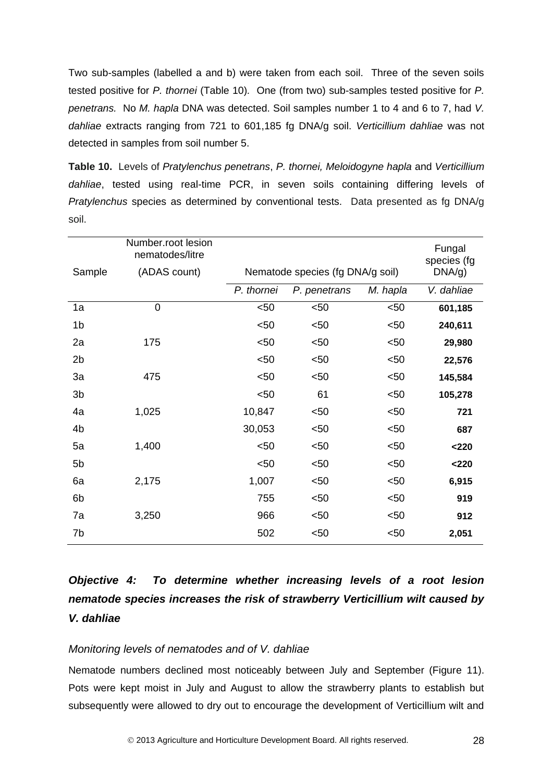Two sub-samples (labelled a and b) were taken from each soil. Three of the seven soils tested positive for *P. thornei* (Table 10)*.* One (from two) sub-samples tested positive for *P. penetrans.* No *M. hapla* DNA was detected. Soil samples number 1 to 4 and 6 to 7, had *V. dahliae* extracts ranging from 721 to 601,185 fg DNA/g soil. *Verticillium dahliae* was not detected in samples from soil number 5.

**Table 10.** Levels of *Pratylenchus penetrans*, *P. thornei, Meloidogyne hapla* and *Verticillium dahliae*, tested using real-time PCR, in seven soils containing differing levels of *Pratylenchus* species as determined by conventional tests. Data presented as fg DNA/g soil.

|                | Number.root lesion<br>nematodes/litre |            |                                  |          | Fungal<br>species (fg |
|----------------|---------------------------------------|------------|----------------------------------|----------|-----------------------|
| Sample         | (ADAS count)                          |            | Nematode species (fg DNA/g soil) |          | DNA/g)                |
|                |                                       | P. thornei | P. penetrans                     | M. hapla | V. dahliae            |
| 1a             | $\mathbf 0$                           | $50$       | $50$                             | $50$     | 601,185               |
| 1 <sub>b</sub> |                                       | $50$       | < 50                             | $50$     | 240,611               |
| 2a             | 175                                   | $50$       | $50$                             | $50$     | 29,980                |
| 2 <sub>b</sub> |                                       | $50$       | $50$                             | $50$     | 22,576                |
| 3a             | 475                                   | $50$       | $50$                             | $50$     | 145,584               |
| 3 <sub>b</sub> |                                       | $50$       | 61                               | $50$     | 105,278               |
| 4a             | 1,025                                 | 10,847     | $50$                             | $50$     | 721                   |
| 4 <sub>b</sub> |                                       | 30,053     | $50$                             | $50$     | 687                   |
| 5a             | 1,400                                 | $50$       | $50$                             | $50$     | < 220                 |
| 5 <sub>b</sub> |                                       | $50$       | $50$                             | < 50     | < 220                 |
| 6a             | 2,175                                 | 1,007      | $50$                             | < 50     | 6,915                 |
| 6b             |                                       | 755        | $50$                             | $50$     | 919                   |
| 7a             | 3,250                                 | 966        | $50$                             | < 50     | 912                   |
| 7b             |                                       | 502        | $50$                             | $50$     | 2,051                 |

# <span id="page-31-0"></span>*Objective 4: To determine whether increasing levels of a root lesion nematode species increases the risk of strawberry Verticillium wilt caused by V. dahliae*

#### *Monitoring levels of nematodes and of V. dahliae*

Nematode numbers declined most noticeably between July and September (Figure 11). Pots were kept moist in July and August to allow the strawberry plants to establish but subsequently were allowed to dry out to encourage the development of Verticillium wilt and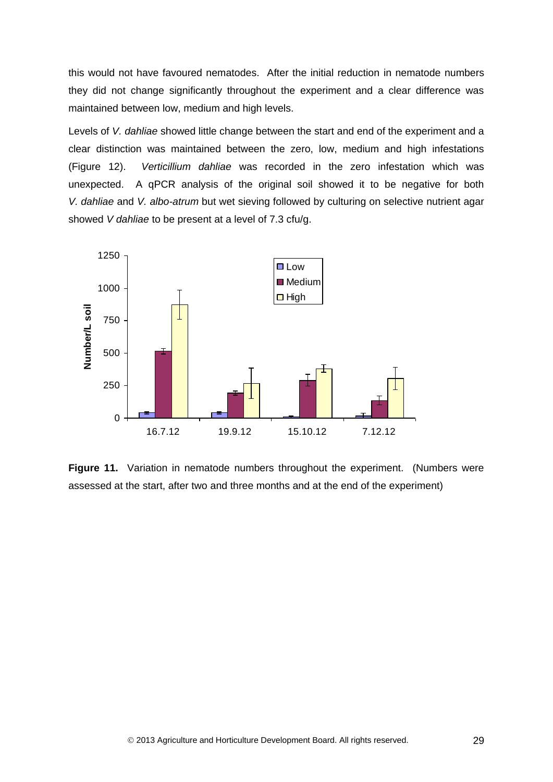this would not have favoured nematodes. After the initial reduction in nematode numbers they did not change significantly throughout the experiment and a clear difference was maintained between low, medium and high levels.

Levels of *V. dahliae* showed little change between the start and end of the experiment and a clear distinction was maintained between the zero, low, medium and high infestations (Figure 12). *Verticillium dahliae* was recorded in the zero infestation which was unexpected. A qPCR analysis of the original soil showed it to be negative for both *V. dahliae* and *V. albo-atrum* but wet sieving followed by culturing on selective nutrient agar showed *V dahliae* to be present at a level of 7.3 cfu/g.



**Figure 11.** Variation in nematode numbers throughout the experiment. (Numbers were assessed at the start, after two and three months and at the end of the experiment)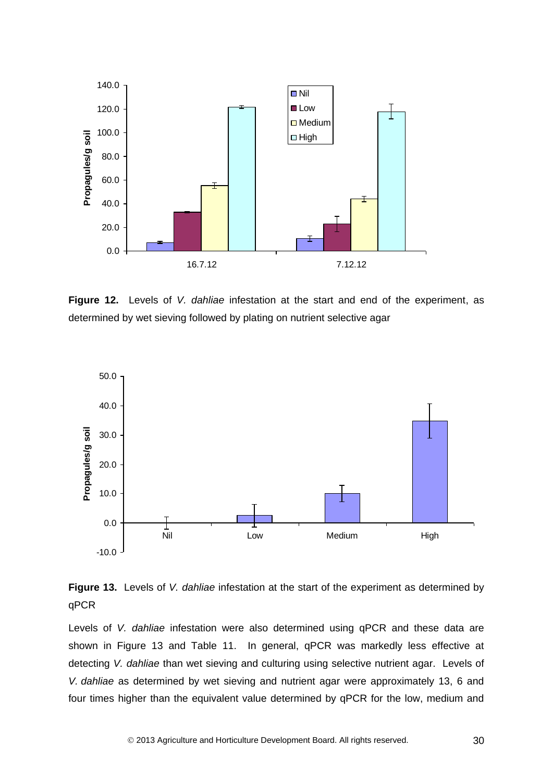

**Figure 12.** Levels of *V. dahliae* infestation at the start and end of the experiment, as determined by wet sieving followed by plating on nutrient selective agar



**Figure 13.** Levels of *V. dahliae* infestation at the start of the experiment as determined by qPCR

Levels of *V. dahliae* infestation were also determined using qPCR and these data are shown in Figure 13 and Table 11. In general, qPCR was markedly less effective at detecting *V. dahliae* than wet sieving and culturing using selective nutrient agar. Levels of *V. dahliae* as determined by wet sieving and nutrient agar were approximately 13, 6 and four times higher than the equivalent value determined by qPCR for the low, medium and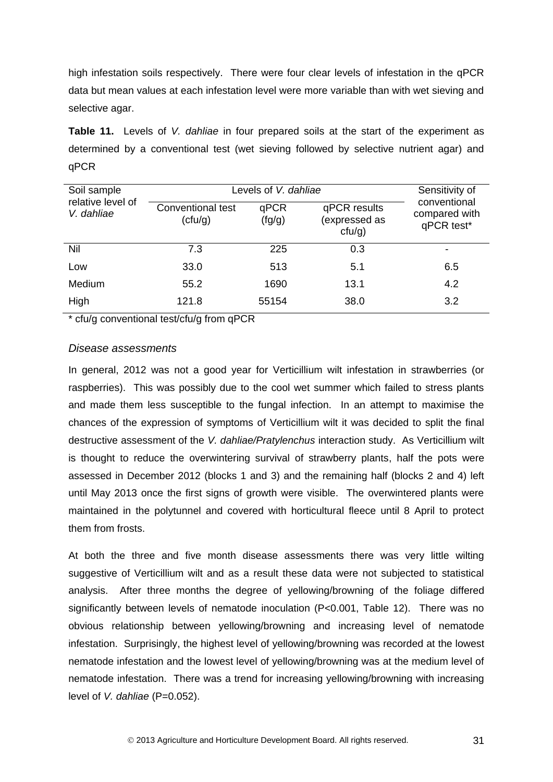high infestation soils respectively. There were four clear levels of infestation in the qPCR data but mean values at each infestation level were more variable than with wet sieving and selective agar.

**Table 11.** Levels of *V. dahliae* in four prepared soils at the start of the experiment as determined by a conventional test (wet sieving followed by selective nutrient agar) and qPCR

| Soil sample<br>relative level of<br>V. dahliae | Levels of V. dahliae         | Sensitivity of |                                            |                                             |
|------------------------------------------------|------------------------------|----------------|--------------------------------------------|---------------------------------------------|
|                                                | Conventional test<br>(ctu/g) | qPCR<br>(fg/g) | qPCR results<br>(expressed as<br>$ctu/g$ ) | conventional<br>compared with<br>qPCR test* |
| Nil                                            | 7.3                          | 225            | 0.3                                        |                                             |
| Low                                            | 33.0                         | 513            | 5.1                                        | 6.5                                         |
| Medium                                         | 55.2                         | 1690           | 13.1                                       | 4.2                                         |
| High                                           | 121.8                        | 55154          | 38.0                                       | 3.2                                         |

\* cfu/g conventional test/cfu/g from qPCR

#### *Disease assessments*

In general, 2012 was not a good year for Verticillium wilt infestation in strawberries (or raspberries). This was possibly due to the cool wet summer which failed to stress plants and made them less susceptible to the fungal infection. In an attempt to maximise the chances of the expression of symptoms of Verticillium wilt it was decided to split the final destructive assessment of the *V. dahliae/Pratylenchus* interaction study. As Verticillium wilt is thought to reduce the overwintering survival of strawberry plants, half the pots were assessed in December 2012 (blocks 1 and 3) and the remaining half (blocks 2 and 4) left until May 2013 once the first signs of growth were visible. The overwintered plants were maintained in the polytunnel and covered with horticultural fleece until 8 April to protect them from frosts.

At both the three and five month disease assessments there was very little wilting suggestive of Verticillium wilt and as a result these data were not subjected to statistical analysis. After three months the degree of yellowing/browning of the foliage differed significantly between levels of nematode inoculation (P<0.001, Table 12). There was no obvious relationship between yellowing/browning and increasing level of nematode infestation. Surprisingly, the highest level of yellowing/browning was recorded at the lowest nematode infestation and the lowest level of yellowing/browning was at the medium level of nematode infestation. There was a trend for increasing yellowing/browning with increasing level of *V. dahliae* (P=0.052).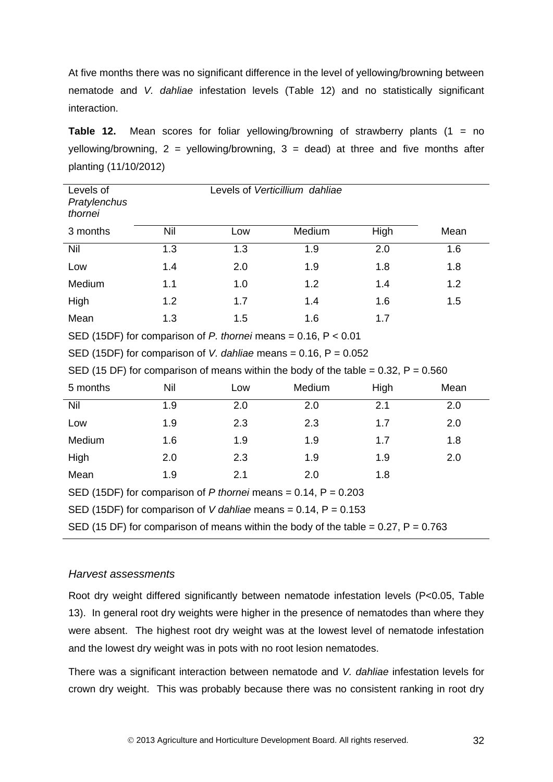At five months there was no significant difference in the level of yellowing/browning between nematode and *V. dahliae* infestation levels (Table 12) and no statistically significant interaction.

**Table 12.** Mean scores for foliar yellowing/browning of strawberry plants (1 = no yellowing/browning,  $2 =$  yellowing/browning,  $3 =$  dead) at three and five months after planting (11/10/2012)

| Levels of<br>Pratylenchus<br>thornei                                                    |     |     | Levels of Verticillium dahliae |      |      |
|-----------------------------------------------------------------------------------------|-----|-----|--------------------------------|------|------|
| 3 months                                                                                | Nil | Low | Medium                         | High | Mean |
| Nil                                                                                     | 1.3 | 1.3 | 1.9                            | 2.0  | 1.6  |
| Low                                                                                     | 1.4 | 2.0 | 1.9                            | 1.8  | 1.8  |
| Medium                                                                                  | 1.1 | 1.0 | 1.2                            | 1.4  | 1.2  |
| High                                                                                    | 1.2 | 1.7 | 1.4                            | 1.6  | 1.5  |
| Mean                                                                                    | 1.3 | 1.5 | 1.6                            | 1.7  |      |
| SED (15DF) for comparison of P. thornei means = $0.16$ , $P < 0.01$                     |     |     |                                |      |      |
| SED (15DF) for comparison of V. dahliae means = $0.16$ , P = $0.052$                    |     |     |                                |      |      |
| SED (15 DF) for comparison of means within the body of the table = $0.32$ , P = $0.560$ |     |     |                                |      |      |
| 5 months                                                                                | Nil | Low | Medium                         | High | Mean |
| Nil                                                                                     | 1.9 | 2.0 | 2.0                            | 2.1  | 2.0  |
| Low                                                                                     | 1.9 | 2.3 | 2.3                            | 1.7  | 2.0  |
| Medium                                                                                  | 1.6 | 1.9 | 1.9                            | 1.7  | 1.8  |
| High                                                                                    | 2.0 | 2.3 | 1.9                            | 1.9  | 2.0  |
| Mean                                                                                    | 1.9 | 2.1 | 2.0                            | 1.8  |      |
| SED (15DF) for comparison of P thornei means = 0.14, $P = 0.203$                        |     |     |                                |      |      |
| SED (15DF) for comparison of V dahliae means = $0.14$ , P = $0.153$                     |     |     |                                |      |      |
| SED (15 DF) for comparison of means within the body of the table = $0.27$ , P = $0.763$ |     |     |                                |      |      |

#### *Harvest assessments*

Root dry weight differed significantly between nematode infestation levels (P<0.05, Table 13). In general root dry weights were higher in the presence of nematodes than where they were absent. The highest root dry weight was at the lowest level of nematode infestation and the lowest dry weight was in pots with no root lesion nematodes.

There was a significant interaction between nematode and *V. dahliae* infestation levels for crown dry weight. This was probably because there was no consistent ranking in root dry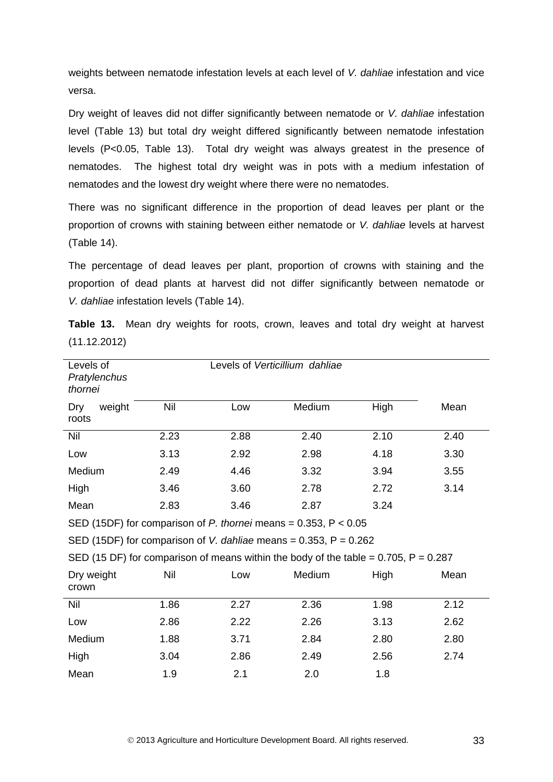weights between nematode infestation levels at each level of *V. dahliae* infestation and vice versa.

Dry weight of leaves did not differ significantly between nematode or *V. dahliae* infestation level (Table 13) but total dry weight differed significantly between nematode infestation levels (P<0.05, Table 13). Total dry weight was always greatest in the presence of nematodes. The highest total dry weight was in pots with a medium infestation of nematodes and the lowest dry weight where there were no nematodes.

There was no significant difference in the proportion of dead leaves per plant or the proportion of crowns with staining between either nematode or *V. dahliae* levels at harvest (Table 14).

The percentage of dead leaves per plant, proportion of crowns with staining and the proportion of dead plants at harvest did not differ significantly between nematode or *V. dahliae* infestation levels (Table 14).

| Levels of<br>Pratylenchus<br>thornei |      |      | Levels of Verticillium dahliae                                                           |      |      |
|--------------------------------------|------|------|------------------------------------------------------------------------------------------|------|------|
| weight<br>Dry<br>roots               | Nil  | Low  | Medium                                                                                   | High | Mean |
| Nil                                  | 2.23 | 2.88 | 2.40                                                                                     | 2.10 | 2.40 |
| Low                                  | 3.13 | 2.92 | 2.98                                                                                     | 4.18 | 3.30 |
| Medium                               | 2.49 | 4.46 | 3.32                                                                                     | 3.94 | 3.55 |
| High                                 | 3.46 | 3.60 | 2.78                                                                                     | 2.72 | 3.14 |
| Mean                                 | 2.83 | 3.46 | 2.87                                                                                     | 3.24 |      |
|                                      |      |      | SED (15DF) for comparison of $P$ . thornei means = 0.353, $P < 0.05$                     |      |      |
|                                      |      |      | SED (15DF) for comparison of V. dahliae means = $0.353$ , P = $0.262$                    |      |      |
|                                      |      |      | SED (15 DF) for comparison of means within the body of the table = $0.705$ , P = $0.287$ |      |      |
| Dry weight<br>crown                  | Nil  | Low  | Medium                                                                                   | High | Mean |
| Nil                                  | 1.86 | 2.27 | 2.36                                                                                     | 1.98 | 2.12 |
| Low                                  | 2.86 | 2.22 | 2.26                                                                                     | 3.13 | 2.62 |
| Medium                               | 1.88 | 3.71 | 2.84                                                                                     | 2.80 | 2.80 |
| High                                 | 3.04 | 2.86 | 2.49                                                                                     | 2.56 | 2.74 |
| Mean                                 | 1.9  | 2.1  | 2.0                                                                                      | 1.8  |      |

**Table 13.** Mean dry weights for roots, crown, leaves and total dry weight at harvest (11.12.2012)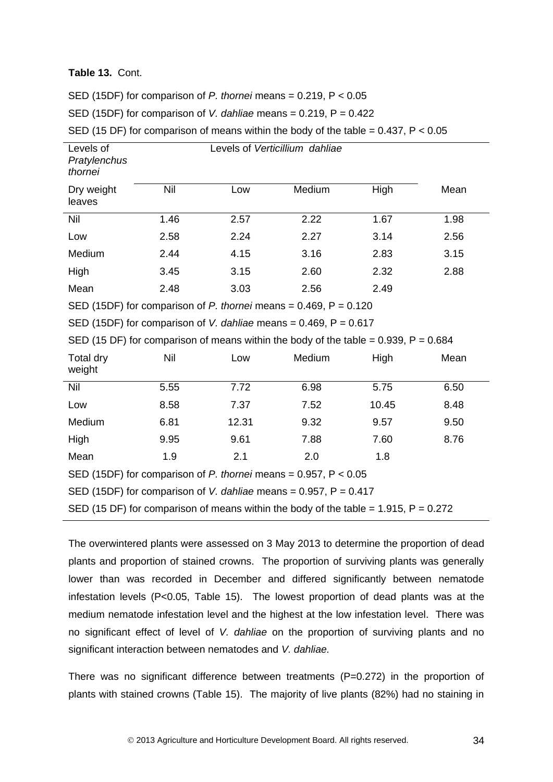#### **Table 13.** Cont.

SED (15DF) for comparison of *P. thornei* means = 0.219, P < 0.05

SED (15DF) for comparison of *V. dahliae* means = 0.219, P = 0.422

SED (15 DF) for comparison of means within the body of the table =  $0.437$ ,  $P < 0.05$ 

| Levels of<br>Pratylenchus<br>thornei                                  |      |      | Levels of Verticillium dahliae |      |      |
|-----------------------------------------------------------------------|------|------|--------------------------------|------|------|
| Dry weight<br>leaves                                                  | Nil  | Low  | Medium                         | High | Mean |
| Nil                                                                   | 1.46 | 2.57 | 2.22                           | 1.67 | 1.98 |
| Low                                                                   | 2.58 | 2.24 | 2.27                           | 3.14 | 2.56 |
| Medium                                                                | 2.44 | 4.15 | 3.16                           | 2.83 | 3.15 |
| High                                                                  | 3.45 | 3.15 | 2.60                           | 2.32 | 2.88 |
| Mean                                                                  | 2.48 | 3.03 | 2.56                           | 2.49 |      |
| SED (15DF) for comparison of P. thornei means = $0.469$ , P = $0.120$ |      |      |                                |      |      |

SED (15DF) for comparison of *V. dahliae* means = 0.469, P = 0.617

SED (15 DF) for comparison of means within the body of the table =  $0.939$ , P =  $0.684$ 

| Total dry<br>weight                                                                   | Nil  | Low   | Medium | High  | Mean |  |
|---------------------------------------------------------------------------------------|------|-------|--------|-------|------|--|
| Nil                                                                                   | 5.55 | 7.72  | 6.98   | 5.75  | 6.50 |  |
| Low                                                                                   | 8.58 | 7.37  | 7.52   | 10.45 | 8.48 |  |
| Medium                                                                                | 6.81 | 12.31 | 9.32   | 9.57  | 9.50 |  |
| High                                                                                  | 9.95 | 9.61  | 7.88   | 7.60  | 8.76 |  |
| Mean                                                                                  | 1.9  | 2.1   | 2.0    | 1.8   |      |  |
| SED (15DF) for comparison of P. thornei means = $0.957$ , P < $0.05$                  |      |       |        |       |      |  |
| SED (15DF) for comparison of V. dahliae means = $0.957$ , P = $0.417$                 |      |       |        |       |      |  |
| SED (15 DF) for comparison of means within the body of the table = 1.915, $P = 0.272$ |      |       |        |       |      |  |

The overwintered plants were assessed on 3 May 2013 to determine the proportion of dead plants and proportion of stained crowns. The proportion of surviving plants was generally lower than was recorded in December and differed significantly between nematode infestation levels (P<0.05, Table 15). The lowest proportion of dead plants was at the medium nematode infestation level and the highest at the low infestation level. There was no significant effect of level of *V. dahliae* on the proportion of surviving plants and no significant interaction between nematodes and *V. dahliae.* 

There was no significant difference between treatments  $(P=0.272)$  in the proportion of plants with stained crowns (Table 15). The majority of live plants (82%) had no staining in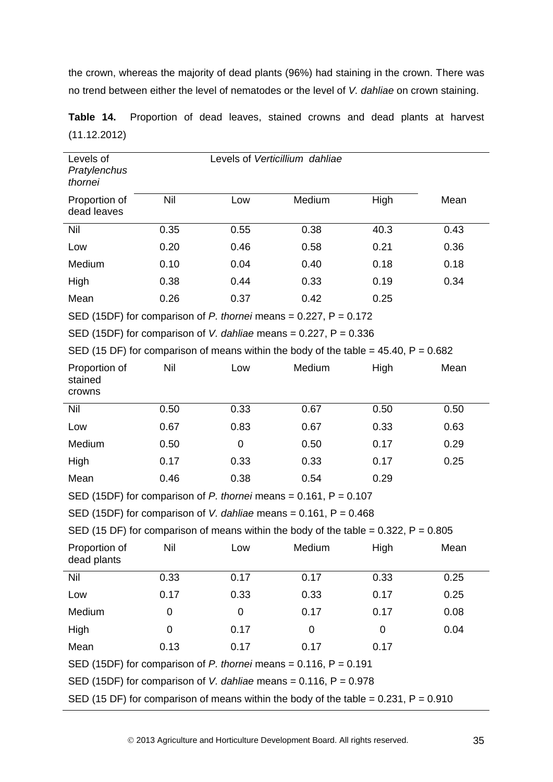the crown, whereas the majority of dead plants (96%) had staining in the crown. There was no trend between either the level of nematodes or the level of *V. dahliae* on crown staining.

| Levels of<br>Pratylenchus<br>thornei                                                     |      |             | Levels of Verticillium dahliae |      |      |
|------------------------------------------------------------------------------------------|------|-------------|--------------------------------|------|------|
| Proportion of<br>dead leaves                                                             | Nil  | Low         | Medium                         | High | Mean |
| Nil                                                                                      | 0.35 | 0.55        | 0.38                           | 40.3 | 0.43 |
| Low                                                                                      | 0.20 | 0.46        | 0.58                           | 0.21 | 0.36 |
| Medium                                                                                   | 0.10 | 0.04        | 0.40                           | 0.18 | 0.18 |
| High                                                                                     | 0.38 | 0.44        | 0.33                           | 0.19 | 0.34 |
| Mean                                                                                     | 0.26 | 0.37        | 0.42                           | 0.25 |      |
| SED (15DF) for comparison of P. thornei means = $0.227$ , P = $0.172$                    |      |             |                                |      |      |
| SED (15DF) for comparison of V. dahliae means = $0.227$ , P = $0.336$                    |      |             |                                |      |      |
| SED (15 DF) for comparison of means within the body of the table = $45.40$ , P = $0.682$ |      |             |                                |      |      |
| Proportion of<br>stained<br>crowns                                                       | Nil  | Low         | Medium                         | High | Mean |
| Nil                                                                                      | 0.50 | 0.33        | 0.67                           | 0.50 | 0.50 |
| Low                                                                                      | 0.67 | 0.83        | 0.67                           | 0.33 | 0.63 |
| Medium                                                                                   | 0.50 | $\mathbf 0$ | 0.50                           | 0.17 | 0.29 |
| High                                                                                     | 0.17 | 0.33        | 0.33                           | 0.17 | 0.25 |
| Mean                                                                                     | 0.46 | 0.38        | 0.54                           | 0.29 |      |
| SED (15DF) for comparison of P. thornei means = $0.161$ , P = $0.107$                    |      |             |                                |      |      |
| SED (15DF) for comparison of V. dahliae means = $0.161$ , P = $0.468$                    |      |             |                                |      |      |
| SED (15 DF) for comparison of means within the body of the table = $0.322$ , P = $0.805$ |      |             |                                |      |      |
| Proportion of<br>dead plants                                                             | Nil  | Low         | Medium                         | High | Mean |
| Nil                                                                                      | 0.33 | 0.17        | 0.17                           | 0.33 | 0.25 |
| Low                                                                                      | 0.17 | 0.33        | 0.33                           | 0.17 | 0.25 |
| Medium                                                                                   | 0    | $\pmb{0}$   | 0.17                           | 0.17 | 0.08 |
| High                                                                                     | 0    | 0.17        | 0                              | 0    | 0.04 |
| Mean                                                                                     | 0.13 | 0.17        | 0.17                           | 0.17 |      |
| SED (15DF) for comparison of P. thornei means = $0.116$ , P = $0.191$                    |      |             |                                |      |      |
| SED (15DF) for comparison of V. dahliae means = $0.116$ , P = $0.978$                    |      |             |                                |      |      |
| SED (15 DF) for comparison of means within the body of the table = $0.231$ , P = $0.910$ |      |             |                                |      |      |

**Table 14.** Proportion of dead leaves, stained crowns and dead plants at harvest (11.12.2012)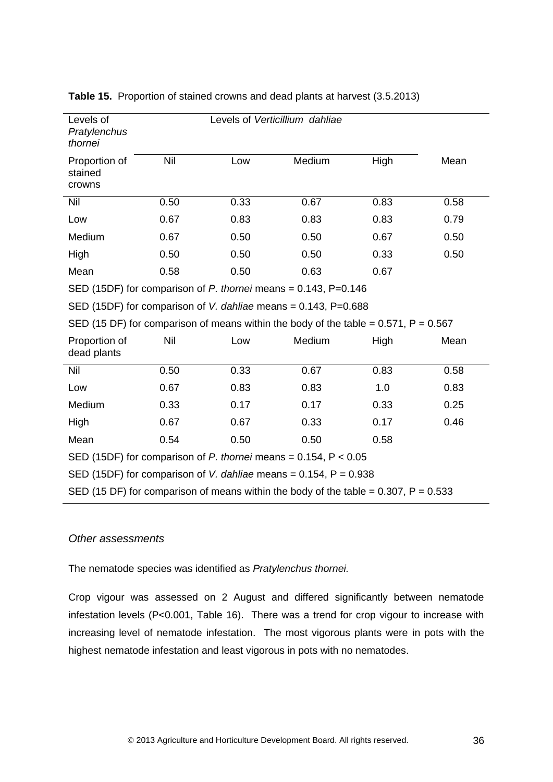| Levels of<br>Pratylenchus<br>thornei                                                     |                                                                       | Levels of Verticillium dahliae |        |      |      |  |
|------------------------------------------------------------------------------------------|-----------------------------------------------------------------------|--------------------------------|--------|------|------|--|
| Proportion of<br>stained<br>crowns                                                       | Nil                                                                   | Low                            | Medium | High | Mean |  |
| Nil                                                                                      | 0.50                                                                  | 0.33                           | 0.67   | 0.83 | 0.58 |  |
| Low                                                                                      | 0.67                                                                  | 0.83                           | 0.83   | 0.83 | 0.79 |  |
| Medium                                                                                   | 0.67                                                                  | 0.50                           | 0.50   | 0.67 | 0.50 |  |
| High                                                                                     | 0.50                                                                  | 0.50                           | 0.50   | 0.33 | 0.50 |  |
| Mean                                                                                     | 0.58                                                                  | 0.50                           | 0.63   | 0.67 |      |  |
| SED (15DF) for comparison of P. thornei means = $0.143$ , P= $0.146$                     |                                                                       |                                |        |      |      |  |
| SED (15DF) for comparison of V. dahliae means = $0.143$ , P= $0.688$                     |                                                                       |                                |        |      |      |  |
| SED (15 DF) for comparison of means within the body of the table = $0.571$ , P = $0.567$ |                                                                       |                                |        |      |      |  |
| Proportion of<br>dead plants                                                             | Nil                                                                   | Low                            | Medium | High | Mean |  |
| Nil                                                                                      | 0.50                                                                  | 0.33                           | 0.67   | 0.83 | 0.58 |  |
| Low                                                                                      | 0.67                                                                  | 0.83                           | 0.83   | 1.0  | 0.83 |  |
| Medium                                                                                   | 0.33                                                                  | 0.17                           | 0.17   | 0.33 | 0.25 |  |
| High                                                                                     | 0.67                                                                  | 0.67                           | 0.33   | 0.17 | 0.46 |  |
| Mean                                                                                     | 0.54                                                                  | 0.50                           | 0.50   | 0.58 |      |  |
| SED (15DF) for comparison of P. thornei means = $0.154$ , P < $0.05$                     |                                                                       |                                |        |      |      |  |
|                                                                                          | SED (15DF) for comparison of V. dahliae means = $0.154$ , P = $0.938$ |                                |        |      |      |  |
| SED (15 DF) for comparison of means within the body of the table = $0.307$ , P = $0.533$ |                                                                       |                                |        |      |      |  |

#### **Table 15.** Proportion of stained crowns and dead plants at harvest (3.5.2013)

#### *Other assessments*

The nematode species was identified as *Pratylenchus thornei.* 

Crop vigour was assessed on 2 August and differed significantly between nematode infestation levels (P<0.001, Table 16). There was a trend for crop vigour to increase with increasing level of nematode infestation. The most vigorous plants were in pots with the highest nematode infestation and least vigorous in pots with no nematodes.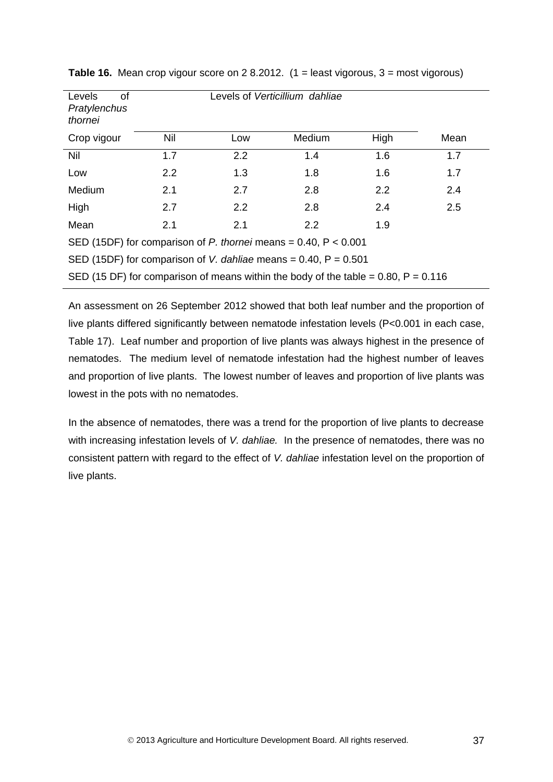| Levels<br>οf<br>Pratylenchus<br>thornei                                                 |            |     | Levels of Verticillium dahliae |      |      |
|-----------------------------------------------------------------------------------------|------------|-----|--------------------------------|------|------|
| Crop vigour                                                                             | <b>Nil</b> | Low | Medium                         | High | Mean |
| <b>Nil</b>                                                                              | 1.7        | 2.2 | 1.4                            | 1.6  | 1.7  |
| Low                                                                                     | 2.2        | 1.3 | 1.8                            | 1.6  | 1.7  |
| Medium                                                                                  | 2.1        | 2.7 | 2.8                            | 2.2  | 2.4  |
| High                                                                                    | 2.7        | 2.2 | 2.8                            | 2.4  | 2.5  |
| Mean                                                                                    | 2.1        | 2.1 | 2.2                            | 1.9  |      |
| SED (15DF) for comparison of P. thornei means = $0.40$ , P < $0.001$                    |            |     |                                |      |      |
| SED (15DF) for comparison of V. dahliae means = $0.40$ , P = $0.501$                    |            |     |                                |      |      |
| SED (15 DF) for comparison of means within the body of the table = $0.80$ , P = $0.116$ |            |     |                                |      |      |

**Table 16.** Mean crop vigour score on 2 8.2012. (1 = least vigorous, 3 = most vigorous)

An assessment on 26 September 2012 showed that both leaf number and the proportion of live plants differed significantly between nematode infestation levels (P<0.001 in each case, Table 17). Leaf number and proportion of live plants was always highest in the presence of nematodes. The medium level of nematode infestation had the highest number of leaves and proportion of live plants. The lowest number of leaves and proportion of live plants was lowest in the pots with no nematodes.

In the absence of nematodes, there was a trend for the proportion of live plants to decrease with increasing infestation levels of *V. dahliae.* In the presence of nematodes, there was no consistent pattern with regard to the effect of *V. dahliae* infestation level on the proportion of live plants.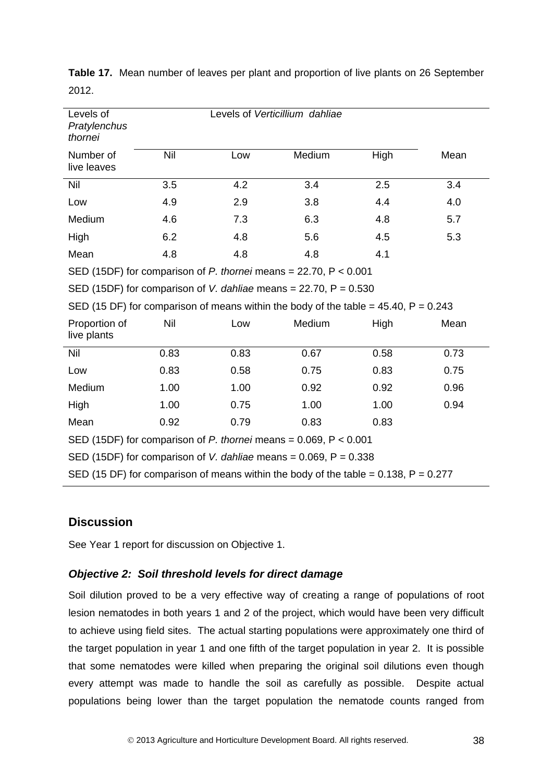| Levels of<br>Pratylenchus<br>thornei                                                     |      |      | Levels of Verticillium dahliae                                                         |      |      |
|------------------------------------------------------------------------------------------|------|------|----------------------------------------------------------------------------------------|------|------|
| Number of<br>live leaves                                                                 | Nil  | Low  | Medium                                                                                 | High | Mean |
| Nil                                                                                      | 3.5  | 4.2  | 3.4                                                                                    | 2.5  | 3.4  |
| Low                                                                                      | 4.9  | 2.9  | 3.8                                                                                    | 4.4  | 4.0  |
| Medium                                                                                   | 4.6  | 7.3  | 6.3                                                                                    | 4.8  | 5.7  |
| High                                                                                     | 6.2  | 4.8  | 5.6                                                                                    | 4.5  | 5.3  |
| Mean                                                                                     | 4.8  | 4.8  | 4.8                                                                                    | 4.1  |      |
|                                                                                          |      |      | SED (15DF) for comparison of $P$ . thornei means = 22.70, $P < 0.001$                  |      |      |
|                                                                                          |      |      | SED (15DF) for comparison of V. dahliae means = $22.70$ , P = $0.530$                  |      |      |
|                                                                                          |      |      | SED (15 DF) for comparison of means within the body of the table = $45.40$ , P = 0.243 |      |      |
| Proportion of<br>live plants                                                             | Nil  | Low  | Medium                                                                                 | High | Mean |
| Nil                                                                                      | 0.83 | 0.83 | 0.67                                                                                   | 0.58 | 0.73 |
| Low                                                                                      | 0.83 | 0.58 | 0.75                                                                                   | 0.83 | 0.75 |
| Medium                                                                                   | 1.00 | 1.00 | 0.92                                                                                   | 0.92 | 0.96 |
| High                                                                                     | 1.00 | 0.75 | 1.00                                                                                   | 1.00 | 0.94 |
| Mean                                                                                     | 0.92 | 0.79 | 0.83                                                                                   | 0.83 |      |
| SED (15DF) for comparison of P. thornei means = $0.069$ , P < $0.001$                    |      |      |                                                                                        |      |      |
| SED (15DF) for comparison of V. dahliae means = $0.069$ , P = $0.338$                    |      |      |                                                                                        |      |      |
| SED (15 DF) for comparison of means within the body of the table = $0.138$ , P = $0.277$ |      |      |                                                                                        |      |      |

**Table 17.** Mean number of leaves per plant and proportion of live plants on 26 September 2012.

### <span id="page-41-0"></span>**Discussion**

See Year 1 report for discussion on Objective 1.

### <span id="page-41-1"></span>*Objective 2: Soil threshold levels for direct damage*

Soil dilution proved to be a very effective way of creating a range of populations of root lesion nematodes in both years 1 and 2 of the project, which would have been very difficult to achieve using field sites. The actual starting populations were approximately one third of the target population in year 1 and one fifth of the target population in year 2. It is possible that some nematodes were killed when preparing the original soil dilutions even though every attempt was made to handle the soil as carefully as possible. Despite actual populations being lower than the target population the nematode counts ranged from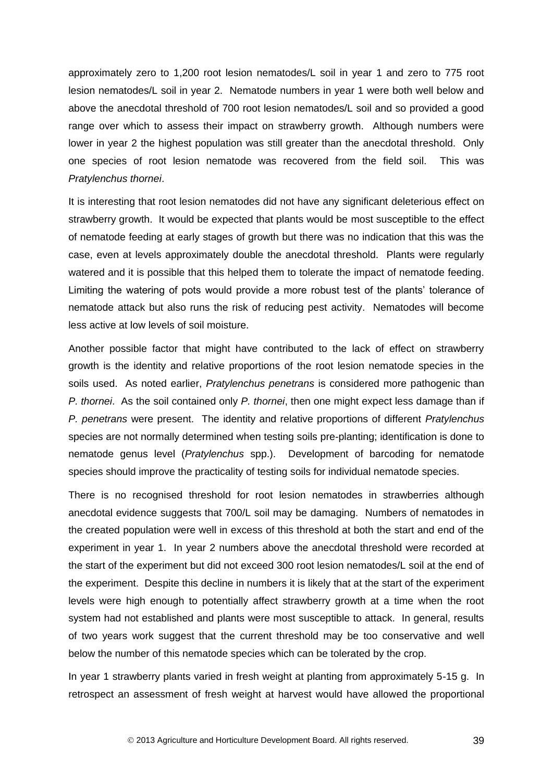approximately zero to 1,200 root lesion nematodes/L soil in year 1 and zero to 775 root lesion nematodes/L soil in year 2. Nematode numbers in year 1 were both well below and above the anecdotal threshold of 700 root lesion nematodes/L soil and so provided a good range over which to assess their impact on strawberry growth. Although numbers were lower in year 2 the highest population was still greater than the anecdotal threshold. Only one species of root lesion nematode was recovered from the field soil. This was *Pratylenchus thornei*.

It is interesting that root lesion nematodes did not have any significant deleterious effect on strawberry growth. It would be expected that plants would be most susceptible to the effect of nematode feeding at early stages of growth but there was no indication that this was the case, even at levels approximately double the anecdotal threshold. Plants were regularly watered and it is possible that this helped them to tolerate the impact of nematode feeding. Limiting the watering of pots would provide a more robust test of the plants' tolerance of nematode attack but also runs the risk of reducing pest activity. Nematodes will become less active at low levels of soil moisture.

Another possible factor that might have contributed to the lack of effect on strawberry growth is the identity and relative proportions of the root lesion nematode species in the soils used. As noted earlier, *Pratylenchus penetrans* is considered more pathogenic than *P. thornei*. As the soil contained only *P. thornei*, then one might expect less damage than if *P. penetrans* were present. The identity and relative proportions of different *Pratylenchus* species are not normally determined when testing soils pre-planting; identification is done to nematode genus level (*Pratylenchus* spp.). Development of barcoding for nematode species should improve the practicality of testing soils for individual nematode species.

There is no recognised threshold for root lesion nematodes in strawberries although anecdotal evidence suggests that 700/L soil may be damaging. Numbers of nematodes in the created population were well in excess of this threshold at both the start and end of the experiment in year 1. In year 2 numbers above the anecdotal threshold were recorded at the start of the experiment but did not exceed 300 root lesion nematodes/L soil at the end of the experiment. Despite this decline in numbers it is likely that at the start of the experiment levels were high enough to potentially affect strawberry growth at a time when the root system had not established and plants were most susceptible to attack. In general, results of two years work suggest that the current threshold may be too conservative and well below the number of this nematode species which can be tolerated by the crop.

In year 1 strawberry plants varied in fresh weight at planting from approximately 5-15 g. In retrospect an assessment of fresh weight at harvest would have allowed the proportional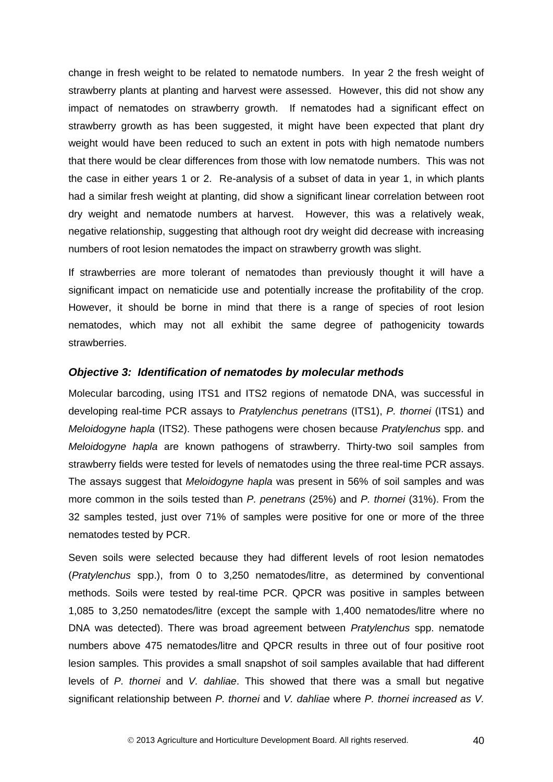change in fresh weight to be related to nematode numbers. In year 2 the fresh weight of strawberry plants at planting and harvest were assessed. However, this did not show any impact of nematodes on strawberry growth. If nematodes had a significant effect on strawberry growth as has been suggested, it might have been expected that plant dry weight would have been reduced to such an extent in pots with high nematode numbers that there would be clear differences from those with low nematode numbers. This was not the case in either years 1 or 2. Re-analysis of a subset of data in year 1, in which plants had a similar fresh weight at planting, did show a significant linear correlation between root dry weight and nematode numbers at harvest. However, this was a relatively weak, negative relationship, suggesting that although root dry weight did decrease with increasing numbers of root lesion nematodes the impact on strawberry growth was slight.

If strawberries are more tolerant of nematodes than previously thought it will have a significant impact on nematicide use and potentially increase the profitability of the crop. However, it should be borne in mind that there is a range of species of root lesion nematodes, which may not all exhibit the same degree of pathogenicity towards strawberries.

#### <span id="page-43-0"></span>*Objective 3: Identification of nematodes by molecular methods*

Molecular barcoding, using ITS1 and ITS2 regions of nematode DNA, was successful in developing real-time PCR assays to *Pratylenchus penetrans* (ITS1), *P. thornei* (ITS1) and *Meloidogyne hapla* (ITS2). These pathogens were chosen because *Pratylenchus* spp. and *Meloidogyne hapla* are known pathogens of strawberry. Thirty-two soil samples from strawberry fields were tested for levels of nematodes using the three real-time PCR assays. The assays suggest that *Meloidogyne hapla* was present in 56% of soil samples and was more common in the soils tested than *P. penetrans* (25%) and *P. thornei* (31%). From the 32 samples tested, just over 71% of samples were positive for one or more of the three nematodes tested by PCR.

Seven soils were selected because they had different levels of root lesion nematodes (*Pratylenchus* spp.), from 0 to 3,250 nematodes/litre, as determined by conventional methods. Soils were tested by real-time PCR. QPCR was positive in samples between 1,085 to 3,250 nematodes/litre (except the sample with 1,400 nematodes/litre where no DNA was detected). There was broad agreement between *Pratylenchus* spp. nematode numbers above 475 nematodes/litre and QPCR results in three out of four positive root lesion samples*.* This provides a small snapshot of soil samples available that had different levels of *P. thornei* and *V. dahliae*. This showed that there was a small but negative significant relationship between *P. thornei* and *V. dahliae* where *P. thornei increased as V.*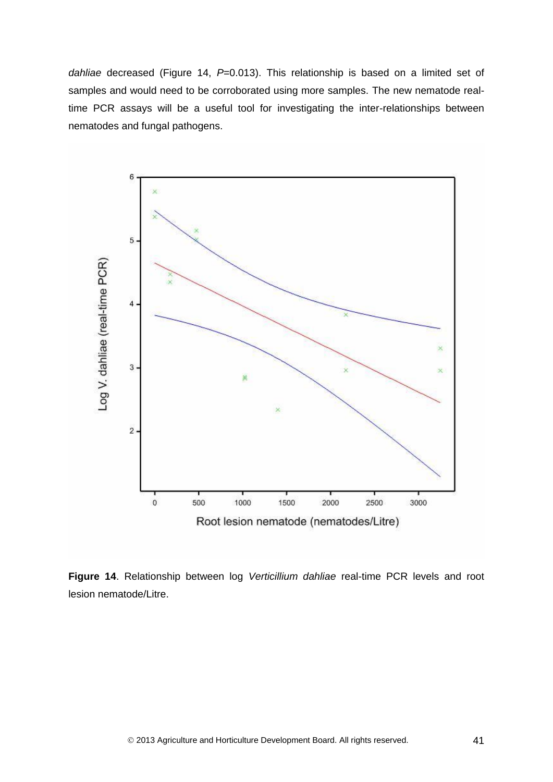*dahliae* decreased (Figure 14, *P*=0.013). This relationship is based on a limited set of samples and would need to be corroborated using more samples. The new nematode realtime PCR assays will be a useful tool for investigating the inter-relationships between nematodes and fungal pathogens.



**Figure 14**. Relationship between log *Verticillium dahliae* real-time PCR levels and root lesion nematode/Litre.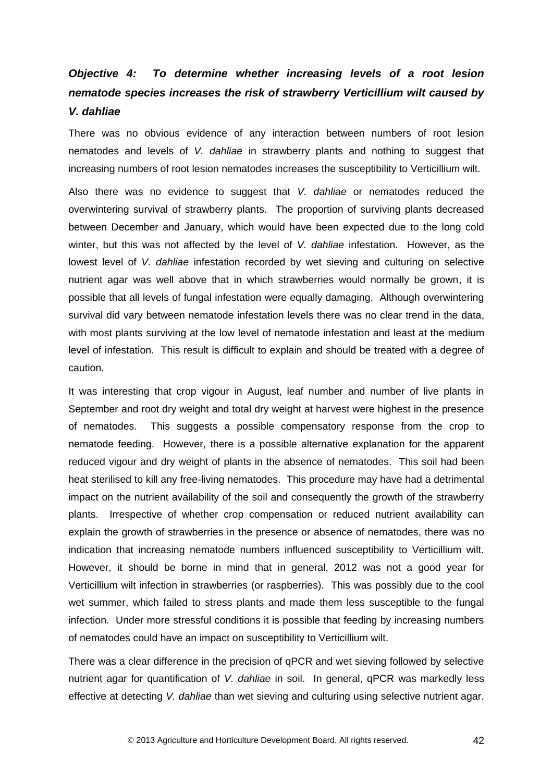# <span id="page-45-0"></span>*Objective 4: To determine whether increasing levels of a root lesion nematode species increases the risk of strawberry Verticillium wilt caused by V. dahliae*

There was no obvious evidence of any interaction between numbers of root lesion nematodes and levels of *V. dahliae* in strawberry plants and nothing to suggest that increasing numbers of root lesion nematodes increases the susceptibility to Verticillium wilt.

Also there was no evidence to suggest that *V. dahliae* or nematodes reduced the overwintering survival of strawberry plants. The proportion of surviving plants decreased between December and January, which would have been expected due to the long cold winter, but this was not affected by the level of *V. dahliae* infestation. However, as the lowest level of *V. dahliae* infestation recorded by wet sieving and culturing on selective nutrient agar was well above that in which strawberries would normally be grown, it is possible that all levels of fungal infestation were equally damaging. Although overwintering survival did vary between nematode infestation levels there was no clear trend in the data, with most plants surviving at the low level of nematode infestation and least at the medium level of infestation. This result is difficult to explain and should be treated with a degree of caution.

It was interesting that crop vigour in August, leaf number and number of live plants in September and root dry weight and total dry weight at harvest were highest in the presence of nematodes. This suggests a possible compensatory response from the crop to nematode feeding. However, there is a possible alternative explanation for the apparent reduced vigour and dry weight of plants in the absence of nematodes. This soil had been heat sterilised to kill any free-living nematodes. This procedure may have had a detrimental impact on the nutrient availability of the soil and consequently the growth of the strawberry plants. Irrespective of whether crop compensation or reduced nutrient availability can explain the growth of strawberries in the presence or absence of nematodes, there was no indication that increasing nematode numbers influenced susceptibility to Verticillium wilt. However, it should be borne in mind that in general, 2012 was not a good year for Verticillium wilt infection in strawberries (or raspberries). This was possibly due to the cool wet summer, which failed to stress plants and made them less susceptible to the fungal infection. Under more stressful conditions it is possible that feeding by increasing numbers of nematodes could have an impact on susceptibility to Verticillium wilt.

There was a clear difference in the precision of qPCR and wet sieving followed by selective nutrient agar for quantification of *V. dahliae* in soil. In general, qPCR was markedly less effective at detecting *V. dahliae* than wet sieving and culturing using selective nutrient agar.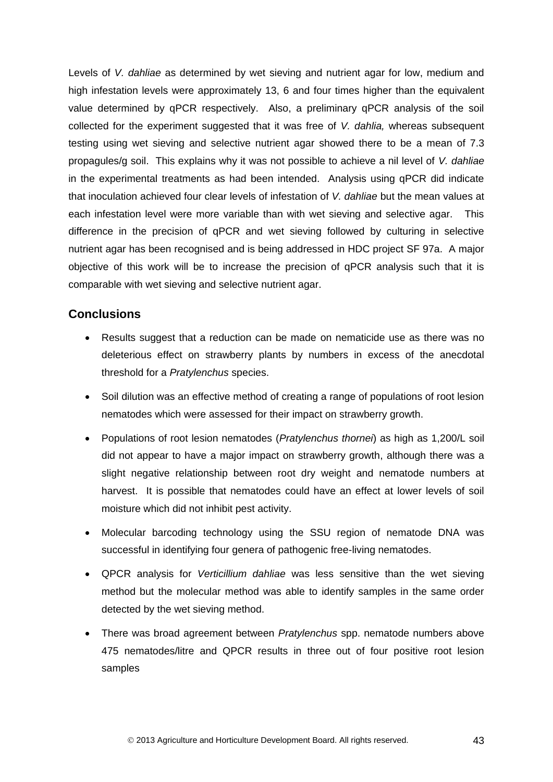Levels of *V. dahliae* as determined by wet sieving and nutrient agar for low, medium and high infestation levels were approximately 13, 6 and four times higher than the equivalent value determined by qPCR respectively. Also, a preliminary qPCR analysis of the soil collected for the experiment suggested that it was free of *V. dahlia,* whereas subsequent testing using wet sieving and selective nutrient agar showed there to be a mean of 7.3 propagules/g soil. This explains why it was not possible to achieve a nil level of *V. dahliae* in the experimental treatments as had been intended. Analysis using qPCR did indicate that inoculation achieved four clear levels of infestation of *V. dahliae* but the mean values at each infestation level were more variable than with wet sieving and selective agar. This difference in the precision of qPCR and wet sieving followed by culturing in selective nutrient agar has been recognised and is being addressed in HDC project SF 97a. A major objective of this work will be to increase the precision of qPCR analysis such that it is comparable with wet sieving and selective nutrient agar.

### <span id="page-46-0"></span>**Conclusions**

- Results suggest that a reduction can be made on nematicide use as there was no deleterious effect on strawberry plants by numbers in excess of the anecdotal threshold for a *Pratylenchus* species.
- Soil dilution was an effective method of creating a range of populations of root lesion nematodes which were assessed for their impact on strawberry growth.
- Populations of root lesion nematodes (*Pratylenchus thornei*) as high as 1,200/L soil did not appear to have a major impact on strawberry growth, although there was a slight negative relationship between root dry weight and nematode numbers at harvest. It is possible that nematodes could have an effect at lower levels of soil moisture which did not inhibit pest activity.
- Molecular barcoding technology using the SSU region of nematode DNA was successful in identifying four genera of pathogenic free-living nematodes.
- QPCR analysis for *Verticillium dahliae* was less sensitive than the wet sieving method but the molecular method was able to identify samples in the same order detected by the wet sieving method.
- There was broad agreement between *Pratylenchus* spp. nematode numbers above 475 nematodes/litre and QPCR results in three out of four positive root lesion samples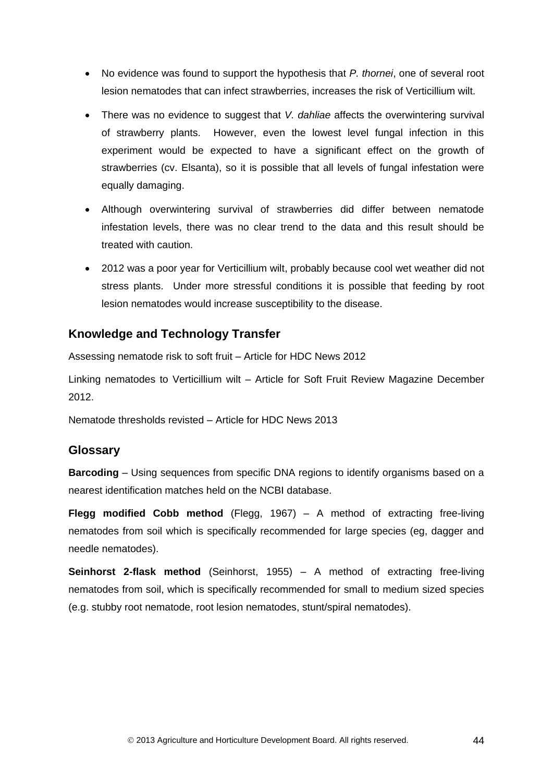- No evidence was found to support the hypothesis that *P. thornei*, one of several root lesion nematodes that can infect strawberries, increases the risk of Verticillium wilt.
- There was no evidence to suggest that *V. dahliae* affects the overwintering survival of strawberry plants. However, even the lowest level fungal infection in this experiment would be expected to have a significant effect on the growth of strawberries (cv. Elsanta), so it is possible that all levels of fungal infestation were equally damaging.
- Although overwintering survival of strawberries did differ between nematode infestation levels, there was no clear trend to the data and this result should be treated with caution.
- 2012 was a poor year for Verticillium wilt, probably because cool wet weather did not stress plants. Under more stressful conditions it is possible that feeding by root lesion nematodes would increase susceptibility to the disease.

## <span id="page-47-0"></span>**Knowledge and Technology Transfer**

Assessing nematode risk to soft fruit – Article for HDC News 2012

Linking nematodes to Verticillium wilt – Article for Soft Fruit Review Magazine December 2012.

Nematode thresholds revisted – Article for HDC News 2013

## <span id="page-47-1"></span>**Glossary**

**Barcoding** – Using sequences from specific DNA regions to identify organisms based on a nearest identification matches held on the NCBI database.

**Flegg modified Cobb method** (Flegg, 1967) – A method of extracting free-living nematodes from soil which is specifically recommended for large species (eg, dagger and needle nematodes).

<span id="page-47-2"></span>**Seinhorst 2-flask method** (Seinhorst, 1955) – A method of extracting free-living nematodes from soil, which is specifically recommended for small to medium sized species (e.g. stubby root nematode, root lesion nematodes, stunt/spiral nematodes).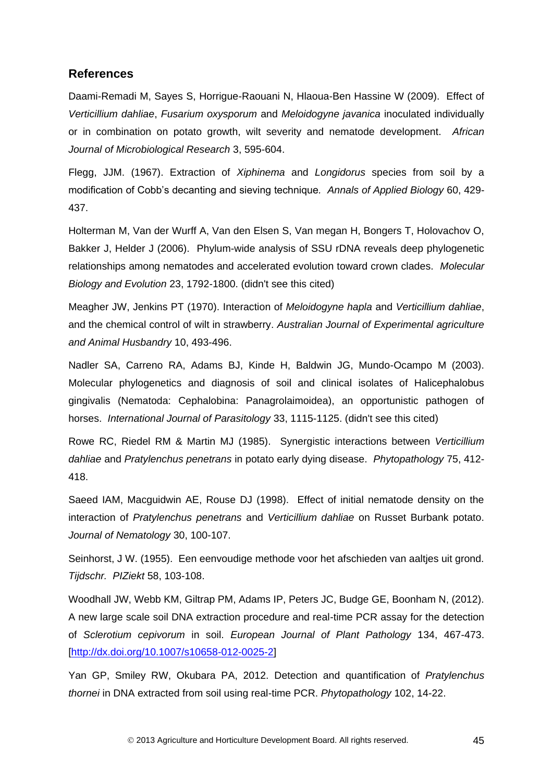### **References**

Daami-Remadi M, Sayes S, Horrigue-Raouani N, Hlaoua-Ben Hassine W (2009). Effect of *Verticillium dahliae*, *Fusarium oxysporum* and *Meloidogyne javanica* inoculated individually or in combination on potato growth, wilt severity and nematode development. *African Journal of Microbiological Research* 3, 595-604.

Flegg, JJM. (1967). Extraction of *Xiphinema* and *Longidorus* species from soil by a modification of Cobb's decanting and sieving technique*. Annals of Applied Biology* 60, 429- 437.

Holterman M, Van der Wurff A, Van den Elsen S, Van megan H, Bongers T, Holovachov O, Bakker J, Helder J (2006). Phylum-wide analysis of SSU rDNA reveals deep phylogenetic relationships among nematodes and accelerated evolution toward crown clades. *Molecular Biology and Evolution* 23, 1792-1800. (didn't see this cited)

Meagher JW, Jenkins PT (1970). Interaction of *Meloidogyne hapla* and *Verticillium dahliae*, and the chemical control of wilt in strawberry. *Australian Journal of Experimental agriculture and Animal Husbandry* 10, 493-496.

Nadler SA, Carreno RA, Adams BJ, Kinde H, Baldwin JG, Mundo-Ocampo M (2003). Molecular phylogenetics and diagnosis of soil and clinical isolates of Halicephalobus gingivalis (Nematoda: Cephalobina: Panagrolaimoidea), an opportunistic pathogen of horses. *International Journal of Parasitology* 33, 1115-1125. (didn't see this cited)

Rowe RC, Riedel RM & Martin MJ (1985). Synergistic interactions between *Verticillium dahliae* and *Pratylenchus penetrans* in potato early dying disease. *Phytopathology* 75, 412- 418.

Saeed IAM, Macguidwin AE, Rouse DJ (1998). Effect of initial nematode density on the interaction of *Pratylenchus penetrans* and *Verticillium dahliae* on Russet Burbank potato. *Journal of Nematology* 30, 100-107.

Seinhorst, J W. (1955). Een eenvoudige methode voor het afschieden van aaltjes uit grond. *Tijdschr. PIZiekt* 58, 103-108.

Woodhall JW, Webb KM, Giltrap PM, Adams IP, Peters JC, Budge GE, Boonham N, (2012). A new large scale soil DNA extraction procedure and real-time PCR assay for the detection of *Sclerotium cepivorum* in soil. *European Journal of Plant Pathology* 134, 467-473. [\[http://dx.doi.org/10.1007/s10658-012-0025-2\]](http://dx.doi.org/10.1007/s10658-012-0025-2)

Yan GP, Smiley RW, Okubara PA, 2012. Detection and quantification of *Pratylenchus thornei* in DNA extracted from soil using real-time PCR. *Phytopathology* 102, 14-22.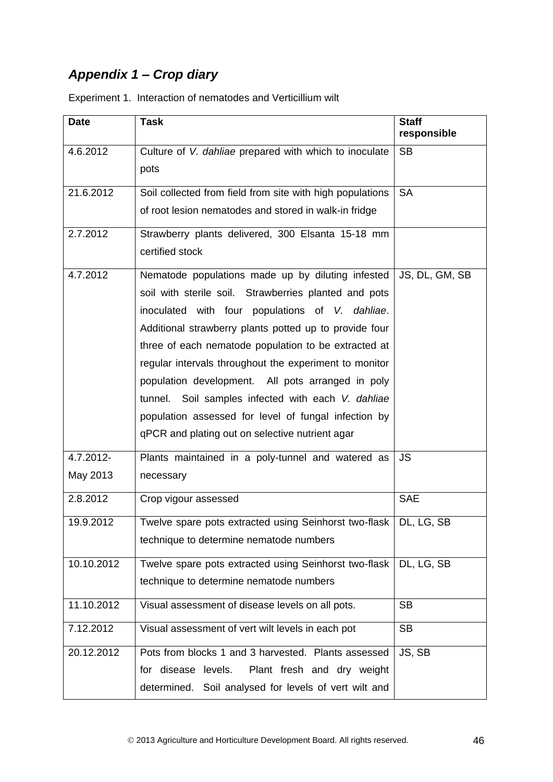# <span id="page-49-0"></span>*Appendix 1 – Crop diary*

| <b>Date</b> | <b>Task</b>                                                    | <b>Staff</b><br>responsible |
|-------------|----------------------------------------------------------------|-----------------------------|
| 4.6.2012    | Culture of V. dahliae prepared with which to inoculate<br>pots | <b>SB</b>                   |
| 21.6.2012   | Soil collected from field from site with high populations      | <b>SA</b>                   |
|             | of root lesion nematodes and stored in walk-in fridge          |                             |
| 2.7.2012    | Strawberry plants delivered, 300 Elsanta 15-18 mm              |                             |
|             | certified stock                                                |                             |
| 4.7.2012    | Nematode populations made up by diluting infested              | JS, DL, GM, SB              |
|             | soil with sterile soil. Strawberries planted and pots          |                             |
|             | inoculated with four populations of V. dahliae.                |                             |
|             | Additional strawberry plants potted up to provide four         |                             |
|             | three of each nematode population to be extracted at           |                             |
|             | regular intervals throughout the experiment to monitor         |                             |
|             | population development. All pots arranged in poly              |                             |
|             | tunnel. Soil samples infected with each V. dahliae             |                             |
|             | population assessed for level of fungal infection by           |                             |
|             | qPCR and plating out on selective nutrient agar                |                             |
| 4.7.2012-   | Plants maintained in a poly-tunnel and watered as              | <b>JS</b>                   |
| May 2013    | necessary                                                      |                             |
| 2.8.2012    | Crop vigour assessed                                           | <b>SAE</b>                  |
| 19.9.2012   | Twelve spare pots extracted using Seinhorst two-flask          | DL, LG, SB                  |
|             | technique to determine nematode numbers                        |                             |
| 10.10.2012  | Twelve spare pots extracted using Seinhorst two-flask          | DL, LG, SB                  |
|             | technique to determine nematode numbers                        |                             |
| 11.10.2012  | Visual assessment of disease levels on all pots.               | <b>SB</b>                   |
| 7.12.2012   | Visual assessment of vert wilt levels in each pot              | <b>SB</b>                   |
| 20.12.2012  | Pots from blocks 1 and 3 harvested. Plants assessed            | JS, SB                      |
|             | for disease levels.<br>Plant fresh and dry weight              |                             |
|             | determined. Soil analysed for levels of vert wilt and          |                             |

Experiment 1. Interaction of nematodes and Verticillium wilt